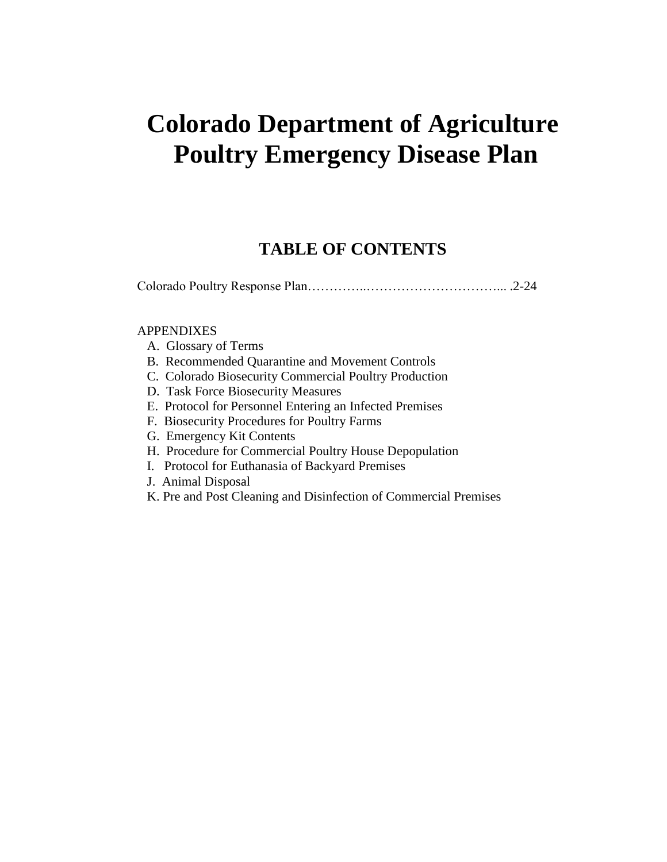# **Colorado Department of Agriculture Poultry Emergency Disease Plan**

# **TABLE OF CONTENTS**

Colorado Poultry Response Plan…………..…………………………... .2-24

#### APPENDIXES

- A. Glossary of Terms
- B. Recommended Quarantine and Movement Controls
- C. Colorado Biosecurity Commercial Poultry Production
- D. Task Force Biosecurity Measures
- E. Protocol for Personnel Entering an Infected Premises
- F. Biosecurity Procedures for Poultry Farms
- G. Emergency Kit Contents
- H. Procedure for Commercial Poultry House Depopulation
- I. Protocol for Euthanasia of Backyard Premises
- J. Animal Disposal
- K. Pre and Post Cleaning and Disinfection of Commercial Premises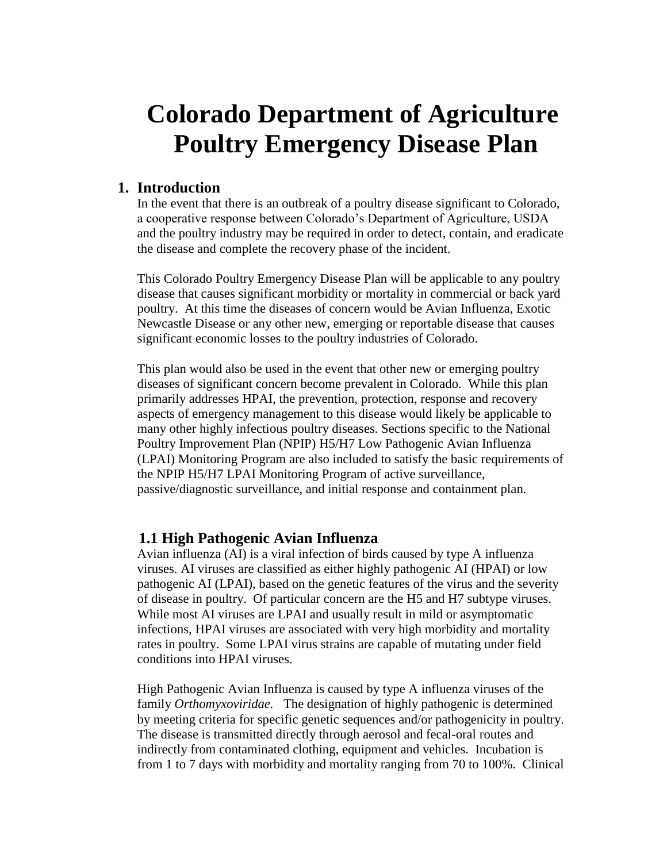# **Colorado Department of Agriculture Poultry Emergency Disease Plan**

### **1. Introduction**

In the event that there is an outbreak of a poultry disease significant to Colorado, a cooperative response between Colorado's Department of Agriculture, USDA and the poultry industry may be required in order to detect, contain, and eradicate the disease and complete the recovery phase of the incident.

This Colorado Poultry Emergency Disease Plan will be applicable to any poultry disease that causes significant morbidity or mortality in commercial or back yard poultry. At this time the diseases of concern would be Avian Influenza, Exotic Newcastle Disease or any other new, emerging or reportable disease that causes significant economic losses to the poultry industries of Colorado.

This plan would also be used in the event that other new or emerging poultry diseases of significant concern become prevalent in Colorado. While this plan primarily addresses HPAI, the prevention, protection, response and recovery aspects of emergency management to this disease would likely be applicable to many other highly infectious poultry diseases. Sections specific to the National Poultry Improvement Plan (NPIP) H5/H7 Low Pathogenic Avian Influenza (LPAI) Monitoring Program are also included to satisfy the basic requirements of the NPIP H5/H7 LPAI Monitoring Program of active surveillance, passive/diagnostic surveillance, and initial response and containment plan.

### **1.1 High Pathogenic Avian Influenza**

Avian influenza (AI) is a viral infection of birds caused by type A influenza viruses. AI viruses are classified as either highly pathogenic AI (HPAI) or low pathogenic AI (LPAI), based on the genetic features of the virus and the severity of disease in poultry. Of particular concern are the H5 and H7 subtype viruses. While most AI viruses are LPAI and usually result in mild or asymptomatic infections, HPAI viruses are associated with very high morbidity and mortality rates in poultry. Some LPAI virus strains are capable of mutating under field conditions into HPAI viruses.

High Pathogenic Avian Influenza is caused by type A influenza viruses of the family *Orthomyxoviridae.* The designation of highly pathogenic is determined by meeting criteria for specific genetic sequences and/or pathogenicity in poultry. The disease is transmitted directly through aerosol and fecal-oral routes and indirectly from contaminated clothing, equipment and vehicles. Incubation is from 1 to 7 days with morbidity and mortality ranging from 70 to 100%. Clinical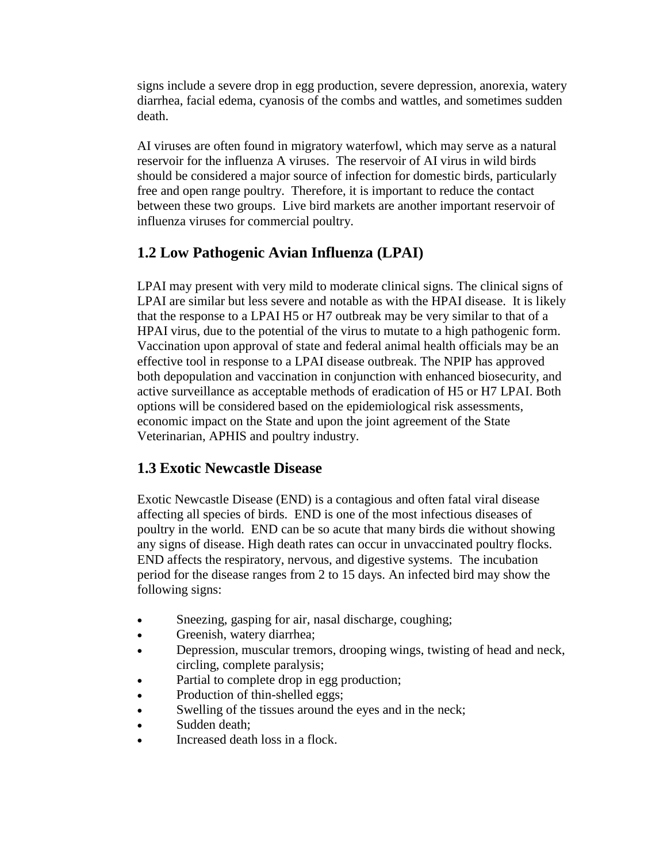signs include a severe drop in egg production, severe depression, anorexia, watery diarrhea, facial edema, cyanosis of the combs and wattles, and sometimes sudden death.

AI viruses are often found in migratory waterfowl, which may serve as a natural reservoir for the influenza A viruses. The reservoir of AI virus in wild birds should be considered a major source of infection for domestic birds, particularly free and open range poultry. Therefore, it is important to reduce the contact between these two groups. Live bird markets are another important reservoir of influenza viruses for commercial poultry.

# **1.2 Low Pathogenic Avian Influenza (LPAI)**

LPAI may present with very mild to moderate clinical signs. The clinical signs of LPAI are similar but less severe and notable as with the HPAI disease. It is likely that the response to a LPAI H5 or H7 outbreak may be very similar to that of a HPAI virus, due to the potential of the virus to mutate to a high pathogenic form. Vaccination upon approval of state and federal animal health officials may be an effective tool in response to a LPAI disease outbreak. The NPIP has approved both depopulation and vaccination in conjunction with enhanced biosecurity, and active surveillance as acceptable methods of eradication of H5 or H7 LPAI. Both options will be considered based on the epidemiological risk assessments, economic impact on the State and upon the joint agreement of the State Veterinarian, APHIS and poultry industry.

# **1.3 Exotic Newcastle Disease**

Exotic Newcastle Disease (END) is a contagious and often fatal viral disease affecting all species of birds. END is one of the most infectious diseases of poultry in the world. END can be so acute that many birds die without showing any signs of disease. High death rates can occur in unvaccinated poultry flocks. END affects the respiratory, nervous, and digestive systems. The incubation period for the disease ranges from 2 to 15 days. An infected bird may show the following signs:

- Sneezing, gasping for air, nasal discharge, coughing;
- Greenish, watery diarrhea;
- Depression, muscular tremors, drooping wings, twisting of head and neck, circling, complete paralysis;
- Partial to complete drop in egg production;
- Production of thin-shelled eggs;
- Swelling of the tissues around the eyes and in the neck;
- Sudden death;
- Increased death loss in a flock.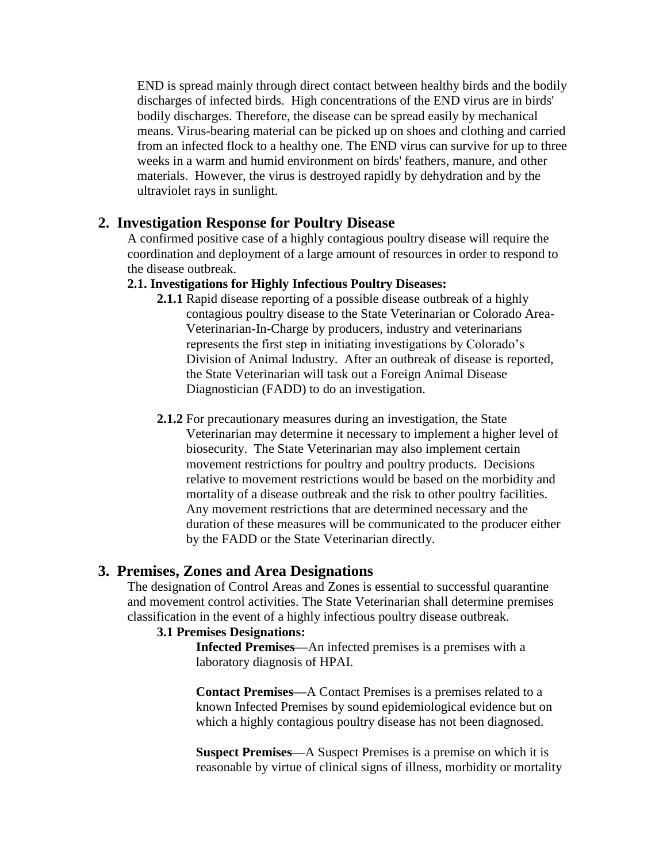END is spread mainly through direct contact between healthy birds and the bodily discharges of infected birds. High concentrations of the END virus are in birds' bodily discharges. Therefore, the disease can be spread easily by mechanical means. Virus-bearing material can be picked up on shoes and clothing and carried from an infected flock to a healthy one. The END virus can survive for up to three weeks in a warm and humid environment on birds' feathers, manure, and other materials. However, the virus is destroyed rapidly by dehydration and by the ultraviolet rays in sunlight.

### **2. Investigation Response for Poultry Disease**

A confirmed positive case of a highly contagious poultry disease will require the coordination and deployment of a large amount of resources in order to respond to the disease outbreak.

#### **2.1. Investigations for Highly Infectious Poultry Diseases:**

- **2.1.1** Rapid disease reporting of a possible disease outbreak of a highly contagious poultry disease to the State Veterinarian or Colorado Area-Veterinarian-In-Charge by producers, industry and veterinarians represents the first step in initiating investigations by Colorado's Division of Animal Industry. After an outbreak of disease is reported, the State Veterinarian will task out a Foreign Animal Disease Diagnostician (FADD) to do an investigation.
- **2.1.2** For precautionary measures during an investigation, the State Veterinarian may determine it necessary to implement a higher level of biosecurity. The State Veterinarian may also implement certain movement restrictions for poultry and poultry products. Decisions relative to movement restrictions would be based on the morbidity and mortality of a disease outbreak and the risk to other poultry facilities. Any movement restrictions that are determined necessary and the duration of these measures will be communicated to the producer either by the FADD or the State Veterinarian directly.

#### **3. Premises, Zones and Area Designations**

The designation of Control Areas and Zones is essential to successful quarantine and movement control activities. The State Veterinarian shall determine premises classification in the event of a highly infectious poultry disease outbreak.

#### **3.1 Premises Designations:**

**Infected Premises—**An infected premises is a premises with a laboratory diagnosis of HPAI.

**Contact Premises—**A Contact Premises is a premises related to a known Infected Premises by sound epidemiological evidence but on which a highly contagious poultry disease has not been diagnosed.

**Suspect Premises—**A Suspect Premises is a premise on which it is reasonable by virtue of clinical signs of illness, morbidity or mortality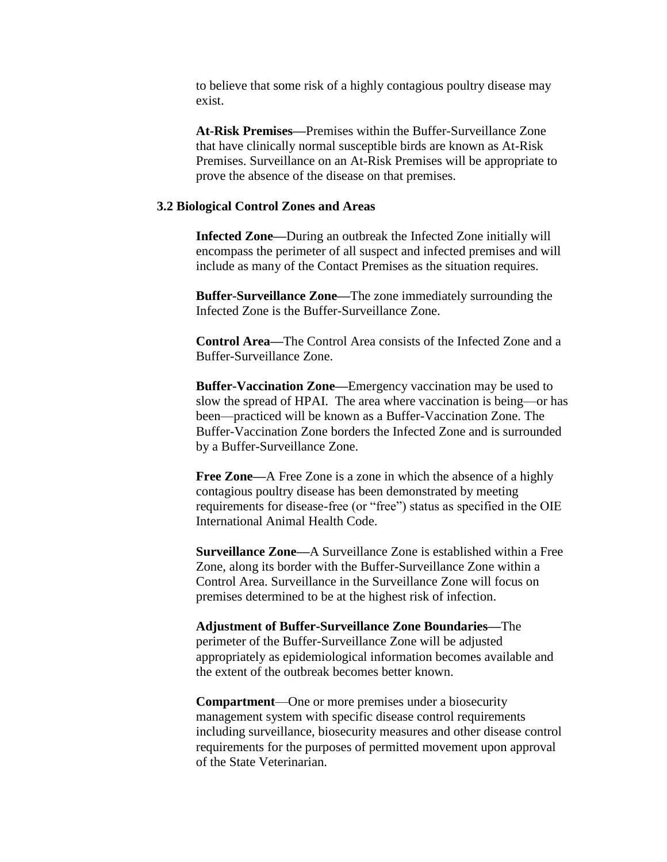to believe that some risk of a highly contagious poultry disease may exist.

**At-Risk Premises—**Premises within the Buffer-Surveillance Zone that have clinically normal susceptible birds are known as At-Risk Premises. Surveillance on an At-Risk Premises will be appropriate to prove the absence of the disease on that premises.

#### **3.2 Biological Control Zones and Areas**

**Infected Zone—**During an outbreak the Infected Zone initially will encompass the perimeter of all suspect and infected premises and will include as many of the Contact Premises as the situation requires.

**Buffer-Surveillance Zone—**The zone immediately surrounding the Infected Zone is the Buffer-Surveillance Zone.

**Control Area—**The Control Area consists of the Infected Zone and a Buffer-Surveillance Zone.

**Buffer-Vaccination Zone—**Emergency vaccination may be used to slow the spread of HPAI. The area where vaccination is being—or has been—practiced will be known as a Buffer-Vaccination Zone. The Buffer-Vaccination Zone borders the Infected Zone and is surrounded by a Buffer-Surveillance Zone.

**Free Zone—**A Free Zone is a zone in which the absence of a highly contagious poultry disease has been demonstrated by meeting requirements for disease-free (or "free") status as specified in the OIE International Animal Health Code.

**Surveillance Zone—**A Surveillance Zone is established within a Free Zone, along its border with the Buffer-Surveillance Zone within a Control Area. Surveillance in the Surveillance Zone will focus on premises determined to be at the highest risk of infection.

**Adjustment of Buffer-Surveillance Zone Boundaries—**The perimeter of the Buffer-Surveillance Zone will be adjusted appropriately as epidemiological information becomes available and the extent of the outbreak becomes better known.

**Compartment**—One or more premises under a biosecurity management system with specific disease control requirements including surveillance, biosecurity measures and other disease control requirements for the purposes of permitted movement upon approval of the State Veterinarian.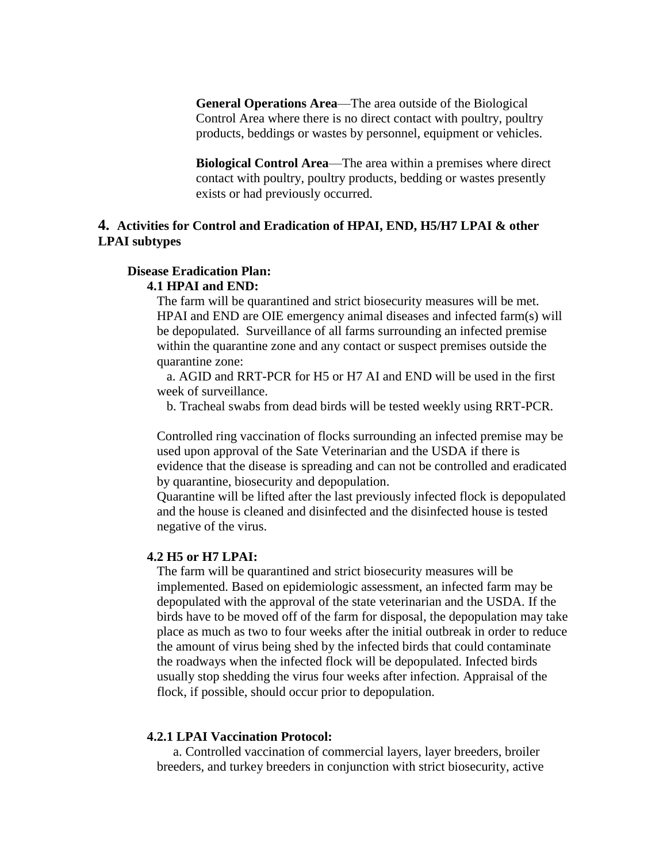**General Operations Area**—The area outside of the Biological Control Area where there is no direct contact with poultry, poultry products, beddings or wastes by personnel, equipment or vehicles.

**Biological Control Area**—The area within a premises where direct contact with poultry, poultry products, bedding or wastes presently exists or had previously occurred.

#### **4. Activities for Control and Eradication of HPAI, END, H5/H7 LPAI & other LPAI subtypes**

#### **Disease Eradication Plan:**

#### **4.1 HPAI and END:**

The farm will be quarantined and strict biosecurity measures will be met. HPAI and END are OIE emergency animal diseases and infected farm(s) will be depopulated. Surveillance of all farms surrounding an infected premise within the quarantine zone and any contact or suspect premises outside the quarantine zone:

 a. AGID and RRT-PCR for H5 or H7 AI and END will be used in the first week of surveillance.

b. Tracheal swabs from dead birds will be tested weekly using RRT-PCR.

Controlled ring vaccination of flocks surrounding an infected premise may be used upon approval of the Sate Veterinarian and the USDA if there is evidence that the disease is spreading and can not be controlled and eradicated by quarantine, biosecurity and depopulation.

Quarantine will be lifted after the last previously infected flock is depopulated and the house is cleaned and disinfected and the disinfected house is tested negative of the virus.

#### **4.2 H5 or H7 LPAI:**

The farm will be quarantined and strict biosecurity measures will be implemented. Based on epidemiologic assessment, an infected farm may be depopulated with the approval of the state veterinarian and the USDA. If the birds have to be moved off of the farm for disposal, the depopulation may take place as much as two to four weeks after the initial outbreak in order to reduce the amount of virus being shed by the infected birds that could contaminate the roadways when the infected flock will be depopulated. Infected birds usually stop shedding the virus four weeks after infection. Appraisal of the flock, if possible, should occur prior to depopulation.

#### **4.2.1 LPAI Vaccination Protocol:**

 a. Controlled vaccination of commercial layers, layer breeders, broiler breeders, and turkey breeders in conjunction with strict biosecurity, active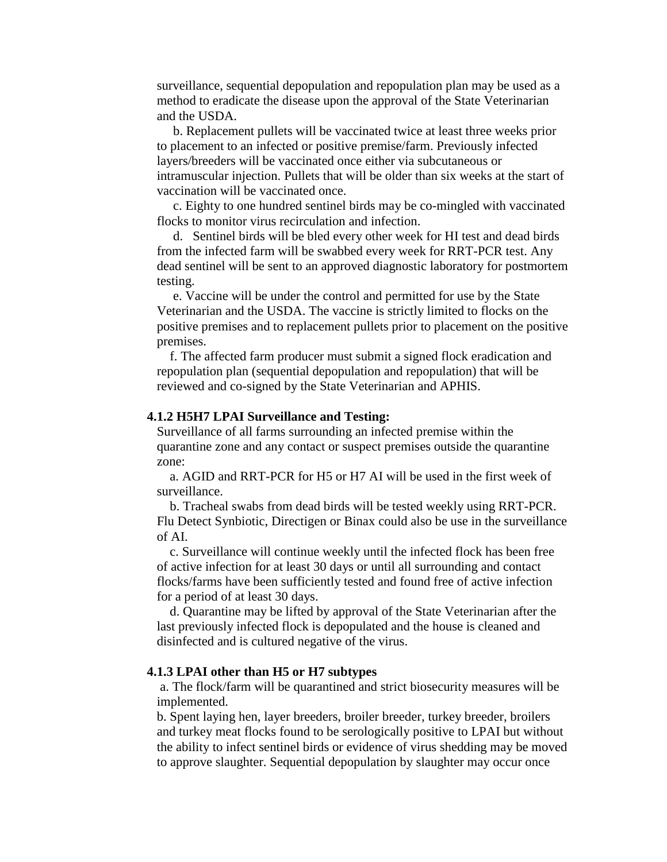surveillance, sequential depopulation and repopulation plan may be used as a method to eradicate the disease upon the approval of the State Veterinarian and the USDA.

 b. Replacement pullets will be vaccinated twice at least three weeks prior to placement to an infected or positive premise/farm. Previously infected layers/breeders will be vaccinated once either via subcutaneous or intramuscular injection. Pullets that will be older than six weeks at the start of vaccination will be vaccinated once.

 c. Eighty to one hundred sentinel birds may be co-mingled with vaccinated flocks to monitor virus recirculation and infection.

 d. Sentinel birds will be bled every other week for HI test and dead birds from the infected farm will be swabbed every week for RRT-PCR test. Any dead sentinel will be sent to an approved diagnostic laboratory for postmortem testing.

 e. Vaccine will be under the control and permitted for use by the State Veterinarian and the USDA. The vaccine is strictly limited to flocks on the positive premises and to replacement pullets prior to placement on the positive premises.

 f. The affected farm producer must submit a signed flock eradication and repopulation plan (sequential depopulation and repopulation) that will be reviewed and co-signed by the State Veterinarian and APHIS.

#### **4.1.2 H5H7 LPAI Surveillance and Testing:**

Surveillance of all farms surrounding an infected premise within the quarantine zone and any contact or suspect premises outside the quarantine zone:

 a. AGID and RRT-PCR for H5 or H7 AI will be used in the first week of surveillance.

 b. Tracheal swabs from dead birds will be tested weekly using RRT-PCR. Flu Detect Synbiotic, Directigen or Binax could also be use in the surveillance of AI.

 c. Surveillance will continue weekly until the infected flock has been free of active infection for at least 30 days or until all surrounding and contact flocks/farms have been sufficiently tested and found free of active infection for a period of at least 30 days.

 d. Quarantine may be lifted by approval of the State Veterinarian after the last previously infected flock is depopulated and the house is cleaned and disinfected and is cultured negative of the virus.

#### **4.1.3 LPAI other than H5 or H7 subtypes**

a. The flock/farm will be quarantined and strict biosecurity measures will be implemented.

b. Spent laying hen, layer breeders, broiler breeder, turkey breeder, broilers and turkey meat flocks found to be serologically positive to LPAI but without the ability to infect sentinel birds or evidence of virus shedding may be moved to approve slaughter. Sequential depopulation by slaughter may occur once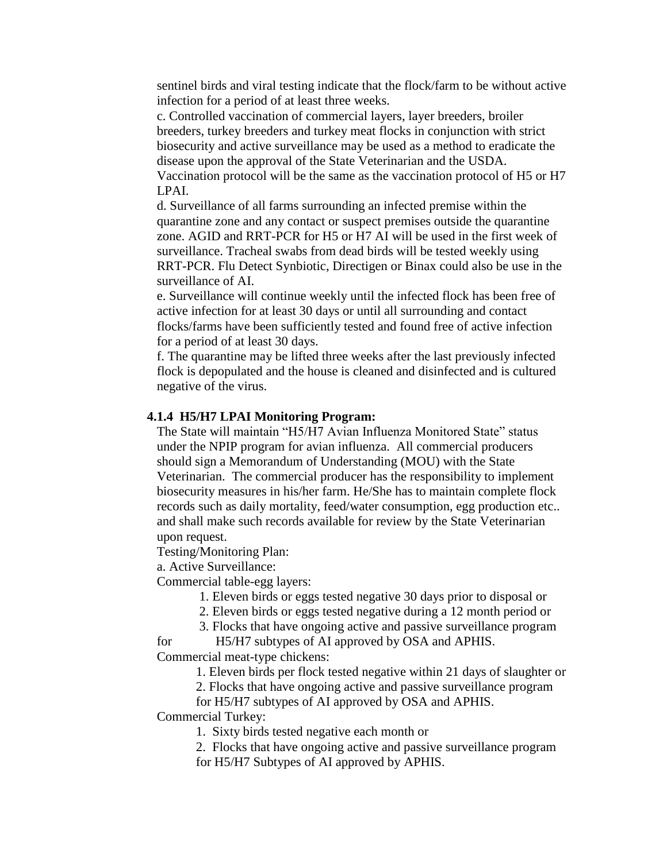sentinel birds and viral testing indicate that the flock/farm to be without active infection for a period of at least three weeks.

c. Controlled vaccination of commercial layers, layer breeders, broiler breeders, turkey breeders and turkey meat flocks in conjunction with strict biosecurity and active surveillance may be used as a method to eradicate the disease upon the approval of the State Veterinarian and the USDA.

Vaccination protocol will be the same as the vaccination protocol of H5 or H7 LPAI.

d. Surveillance of all farms surrounding an infected premise within the quarantine zone and any contact or suspect premises outside the quarantine zone. AGID and RRT-PCR for H5 or H7 AI will be used in the first week of surveillance. Tracheal swabs from dead birds will be tested weekly using RRT-PCR. Flu Detect Synbiotic, Directigen or Binax could also be use in the surveillance of AI.

e. Surveillance will continue weekly until the infected flock has been free of active infection for at least 30 days or until all surrounding and contact flocks/farms have been sufficiently tested and found free of active infection for a period of at least 30 days.

f. The quarantine may be lifted three weeks after the last previously infected flock is depopulated and the house is cleaned and disinfected and is cultured negative of the virus.

#### **4.1.4 H5/H7 LPAI Monitoring Program:**

The State will maintain "H5/H7 Avian Influenza Monitored State" status under the NPIP program for avian influenza. All commercial producers should sign a Memorandum of Understanding (MOU) with the State Veterinarian. The commercial producer has the responsibility to implement biosecurity measures in his/her farm. He/She has to maintain complete flock records such as daily mortality, feed/water consumption, egg production etc.. and shall make such records available for review by the State Veterinarian upon request.

Testing/Monitoring Plan:

a. Active Surveillance:

Commercial table-egg layers:

- 1. Eleven birds or eggs tested negative 30 days prior to disposal or
- 2. Eleven birds or eggs tested negative during a 12 month period or
- 3. Flocks that have ongoing active and passive surveillance program

for H5/H7 subtypes of AI approved by OSA and APHIS. Commercial meat-type chickens:

1. Eleven birds per flock tested negative within 21 days of slaughter or

2. Flocks that have ongoing active and passive surveillance program

for H5/H7 subtypes of AI approved by OSA and APHIS.

#### Commercial Turkey:

1. Sixty birds tested negative each month or

2. Flocks that have ongoing active and passive surveillance program for H5/H7 Subtypes of AI approved by APHIS.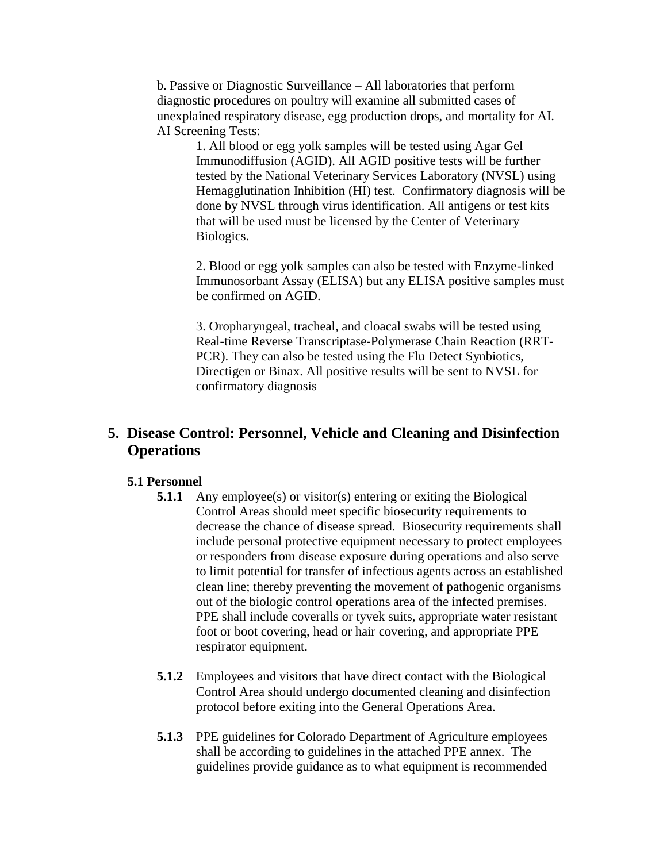b. Passive or Diagnostic Surveillance – All laboratories that perform diagnostic procedures on poultry will examine all submitted cases of unexplained respiratory disease, egg production drops, and mortality for AI. AI Screening Tests:

1. All blood or egg yolk samples will be tested using Agar Gel Immunodiffusion (AGID). All AGID positive tests will be further tested by the National Veterinary Services Laboratory (NVSL) using Hemagglutination Inhibition (HI) test. Confirmatory diagnosis will be done by NVSL through virus identification. All antigens or test kits that will be used must be licensed by the Center of Veterinary Biologics.

2. Blood or egg yolk samples can also be tested with Enzyme-linked Immunosorbant Assay (ELISA) but any ELISA positive samples must be confirmed on AGID.

3. Oropharyngeal, tracheal, and cloacal swabs will be tested using Real-time Reverse Transcriptase-Polymerase Chain Reaction (RRT-PCR). They can also be tested using the Flu Detect Synbiotics, Directigen or Binax. All positive results will be sent to NVSL for confirmatory diagnosis

### **5. Disease Control: Personnel, Vehicle and Cleaning and Disinfection Operations**

#### **5.1 Personnel**

- **5.1.1** Any employee(s) or visitor(s) entering or exiting the Biological Control Areas should meet specific biosecurity requirements to decrease the chance of disease spread. Biosecurity requirements shall include personal protective equipment necessary to protect employees or responders from disease exposure during operations and also serve to limit potential for transfer of infectious agents across an established clean line; thereby preventing the movement of pathogenic organisms out of the biologic control operations area of the infected premises. PPE shall include coveralls or tyvek suits, appropriate water resistant foot or boot covering, head or hair covering, and appropriate PPE respirator equipment.
- **5.1.2** Employees and visitors that have direct contact with the Biological Control Area should undergo documented cleaning and disinfection protocol before exiting into the General Operations Area.
- **5.1.3** PPE guidelines for Colorado Department of Agriculture employees shall be according to guidelines in the attached PPE annex. The guidelines provide guidance as to what equipment is recommended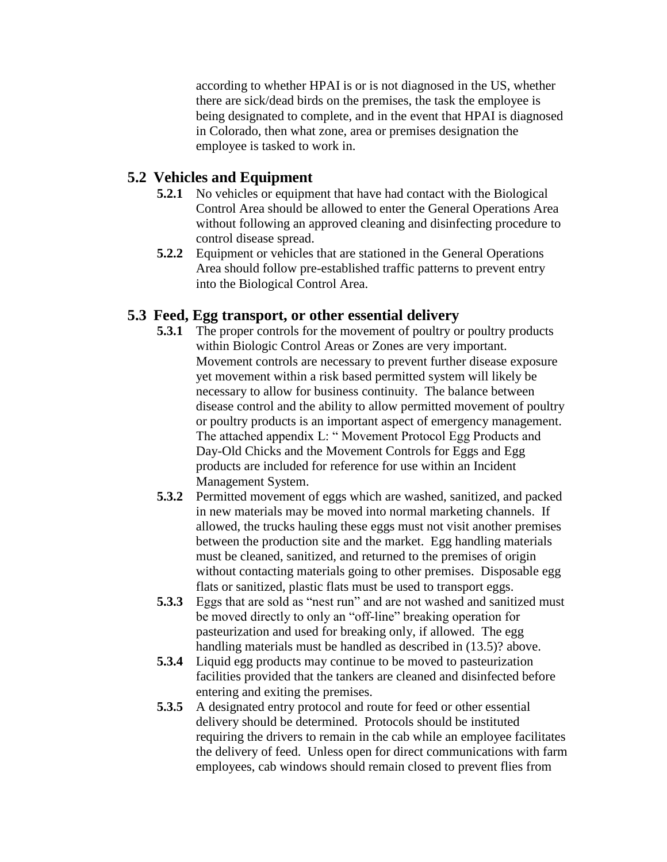according to whether HPAI is or is not diagnosed in the US, whether there are sick/dead birds on the premises, the task the employee is being designated to complete, and in the event that HPAI is diagnosed in Colorado, then what zone, area or premises designation the employee is tasked to work in.

# **5.2 Vehicles and Equipment**

- **5.2.1** No vehicles or equipment that have had contact with the Biological Control Area should be allowed to enter the General Operations Area without following an approved cleaning and disinfecting procedure to control disease spread.
- **5.2.2** Equipment or vehicles that are stationed in the General Operations Area should follow pre-established traffic patterns to prevent entry into the Biological Control Area.

### **5.3 Feed, Egg transport, or other essential delivery**

- **5.3.1** The proper controls for the movement of poultry or poultry products within Biologic Control Areas or Zones are very important. Movement controls are necessary to prevent further disease exposure yet movement within a risk based permitted system will likely be necessary to allow for business continuity. The balance between disease control and the ability to allow permitted movement of poultry or poultry products is an important aspect of emergency management. The attached appendix L: " Movement Protocol Egg Products and Day-Old Chicks and the Movement Controls for Eggs and Egg products are included for reference for use within an Incident Management System.
- **5.3.2** Permitted movement of eggs which are washed, sanitized, and packed in new materials may be moved into normal marketing channels. If allowed, the trucks hauling these eggs must not visit another premises between the production site and the market. Egg handling materials must be cleaned, sanitized, and returned to the premises of origin without contacting materials going to other premises. Disposable egg flats or sanitized, plastic flats must be used to transport eggs.
- **5.3.3** Eggs that are sold as "nest run" and are not washed and sanitized must be moved directly to only an "off-line" breaking operation for pasteurization and used for breaking only, if allowed. The egg handling materials must be handled as described in (13.5)? above.
- **5.3.4** Liquid egg products may continue to be moved to pasteurization facilities provided that the tankers are cleaned and disinfected before entering and exiting the premises.
- **5.3.5** A designated entry protocol and route for feed or other essential delivery should be determined. Protocols should be instituted requiring the drivers to remain in the cab while an employee facilitates the delivery of feed. Unless open for direct communications with farm employees, cab windows should remain closed to prevent flies from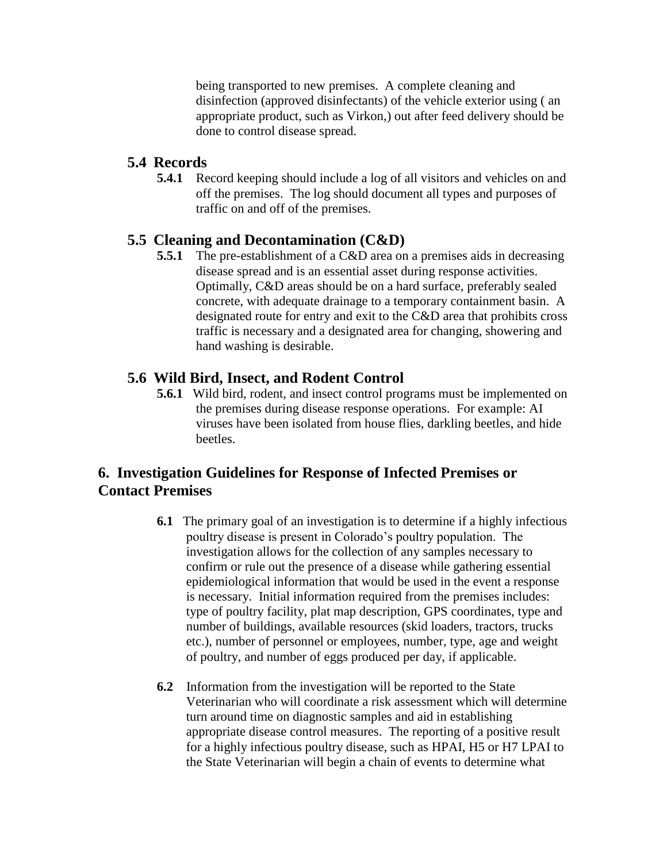being transported to new premises. A complete cleaning and disinfection (approved disinfectants) of the vehicle exterior using ( an appropriate product, such as Virkon,) out after feed delivery should be done to control disease spread.

### **5.4 Records**

**5.4.1** Record keeping should include a log of all visitors and vehicles on and off the premises. The log should document all types and purposes of traffic on and off of the premises.

### **5.5 Cleaning and Decontamination (C&D)**

**5.5.1** The pre-establishment of a C&D area on a premises aids in decreasing disease spread and is an essential asset during response activities. Optimally, C&D areas should be on a hard surface, preferably sealed concrete, with adequate drainage to a temporary containment basin. A designated route for entry and exit to the C&D area that prohibits cross traffic is necessary and a designated area for changing, showering and hand washing is desirable.

### **5.6 Wild Bird, Insect, and Rodent Control**

**5.6.1** Wild bird, rodent, and insect control programs must be implemented on the premises during disease response operations. For example: AI viruses have been isolated from house flies, darkling beetles, and hide beetles.

### **6. Investigation Guidelines for Response of Infected Premises or Contact Premises**

- **6.1** The primary goal of an investigation is to determine if a highly infectious poultry disease is present in Colorado's poultry population. The investigation allows for the collection of any samples necessary to confirm or rule out the presence of a disease while gathering essential epidemiological information that would be used in the event a response is necessary. Initial information required from the premises includes: type of poultry facility, plat map description, GPS coordinates, type and number of buildings, available resources (skid loaders, tractors, trucks etc.), number of personnel or employees, number, type, age and weight of poultry, and number of eggs produced per day, if applicable.
- **6.2** Information from the investigation will be reported to the State Veterinarian who will coordinate a risk assessment which will determine turn around time on diagnostic samples and aid in establishing appropriate disease control measures. The reporting of a positive result for a highly infectious poultry disease, such as HPAI, H5 or H7 LPAI to the State Veterinarian will begin a chain of events to determine what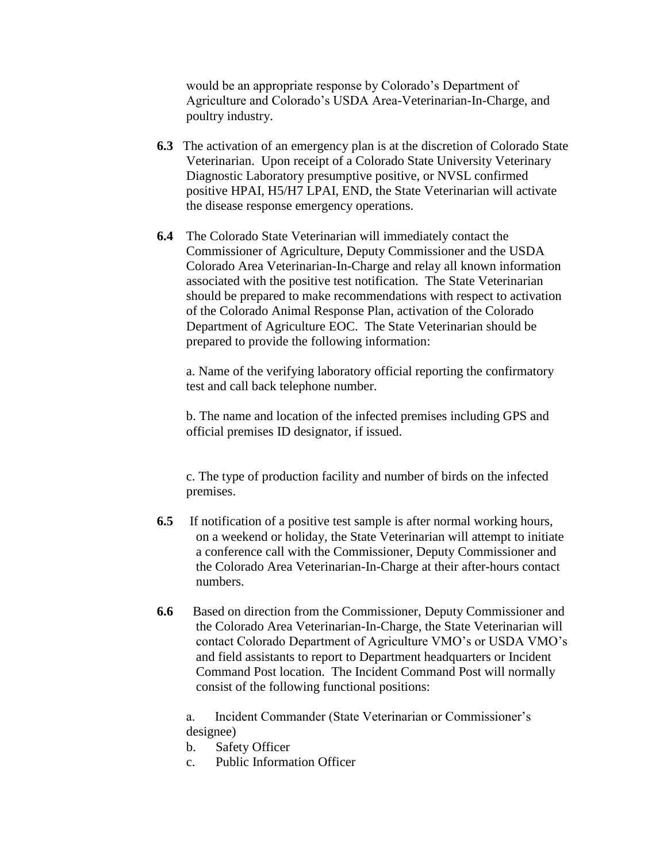would be an appropriate response by Colorado's Department of Agriculture and Colorado's USDA Area-Veterinarian-In-Charge, and poultry industry.

- **6.3** The activation of an emergency plan is at the discretion of Colorado State Veterinarian. Upon receipt of a Colorado State University Veterinary Diagnostic Laboratory presumptive positive, or NVSL confirmed positive HPAI, H5/H7 LPAI, END, the State Veterinarian will activate the disease response emergency operations.
- **6.4** The Colorado State Veterinarian will immediately contact the Commissioner of Agriculture, Deputy Commissioner and the USDA Colorado Area Veterinarian-In-Charge and relay all known information associated with the positive test notification. The State Veterinarian should be prepared to make recommendations with respect to activation of the Colorado Animal Response Plan, activation of the Colorado Department of Agriculture EOC. The State Veterinarian should be prepared to provide the following information:

a. Name of the verifying laboratory official reporting the confirmatory test and call back telephone number.

b. The name and location of the infected premises including GPS and official premises ID designator, if issued.

c. The type of production facility and number of birds on the infected premises.

- **6.5** If notification of a positive test sample is after normal working hours, on a weekend or holiday, the State Veterinarian will attempt to initiate a conference call with the Commissioner, Deputy Commissioner and the Colorado Area Veterinarian-In-Charge at their after-hours contact numbers.
- **6.6** Based on direction from the Commissioner, Deputy Commissioner and the Colorado Area Veterinarian-In-Charge, the State Veterinarian will contact Colorado Department of Agriculture VMO's or USDA VMO's and field assistants to report to Department headquarters or Incident Command Post location. The Incident Command Post will normally consist of the following functional positions:

a. Incident Commander (State Veterinarian or Commissioner's designee)

- b. Safety Officer
- c. Public Information Officer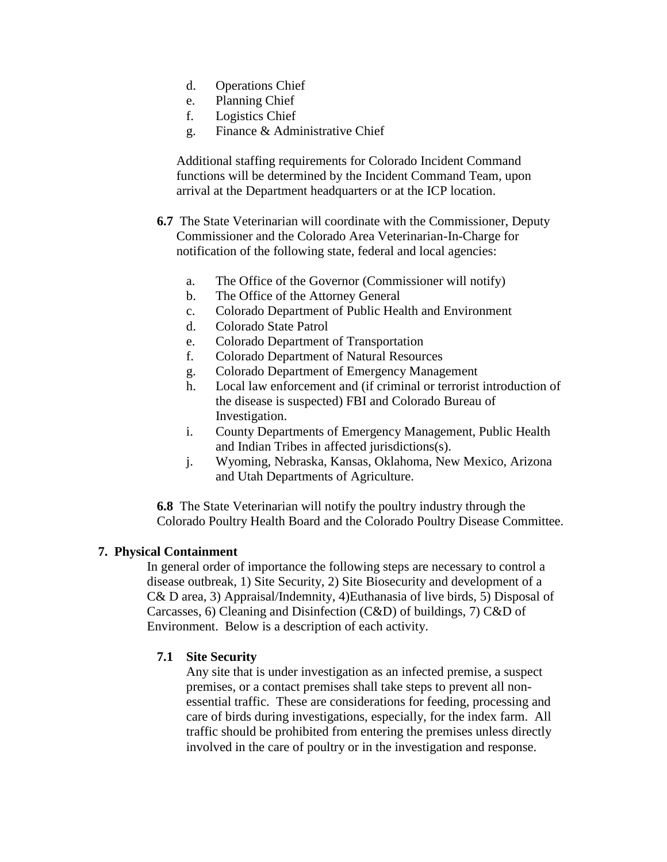- d. Operations Chief
- e. Planning Chief
- f. Logistics Chief
- g. Finance & Administrative Chief

Additional staffing requirements for Colorado Incident Command functions will be determined by the Incident Command Team, upon arrival at the Department headquarters or at the ICP location.

- **6.7** The State Veterinarian will coordinate with the Commissioner, Deputy Commissioner and the Colorado Area Veterinarian-In-Charge for notification of the following state, federal and local agencies:
	- a. The Office of the Governor (Commissioner will notify)
	- b. The Office of the Attorney General
	- c. Colorado Department of Public Health and Environment
	- d. Colorado State Patrol
	- e. Colorado Department of Transportation
	- f. Colorado Department of Natural Resources
	- g. Colorado Department of Emergency Management
	- h. Local law enforcement and (if criminal or terrorist introduction of the disease is suspected) FBI and Colorado Bureau of Investigation.
	- i. County Departments of Emergency Management, Public Health and Indian Tribes in affected jurisdictions(s).
	- j. Wyoming, Nebraska, Kansas, Oklahoma, New Mexico, Arizona and Utah Departments of Agriculture.

**6.8** The State Veterinarian will notify the poultry industry through the Colorado Poultry Health Board and the Colorado Poultry Disease Committee.

#### **7. Physical Containment**

In general order of importance the following steps are necessary to control a disease outbreak, 1) Site Security, 2) Site Biosecurity and development of a C& D area, 3) Appraisal/Indemnity, 4)Euthanasia of live birds, 5) Disposal of Carcasses, 6) Cleaning and Disinfection (C&D) of buildings, 7) C&D of Environment. Below is a description of each activity.

#### **7.1 Site Security**

Any site that is under investigation as an infected premise, a suspect premises, or a contact premises shall take steps to prevent all nonessential traffic. These are considerations for feeding, processing and care of birds during investigations, especially, for the index farm. All traffic should be prohibited from entering the premises unless directly involved in the care of poultry or in the investigation and response.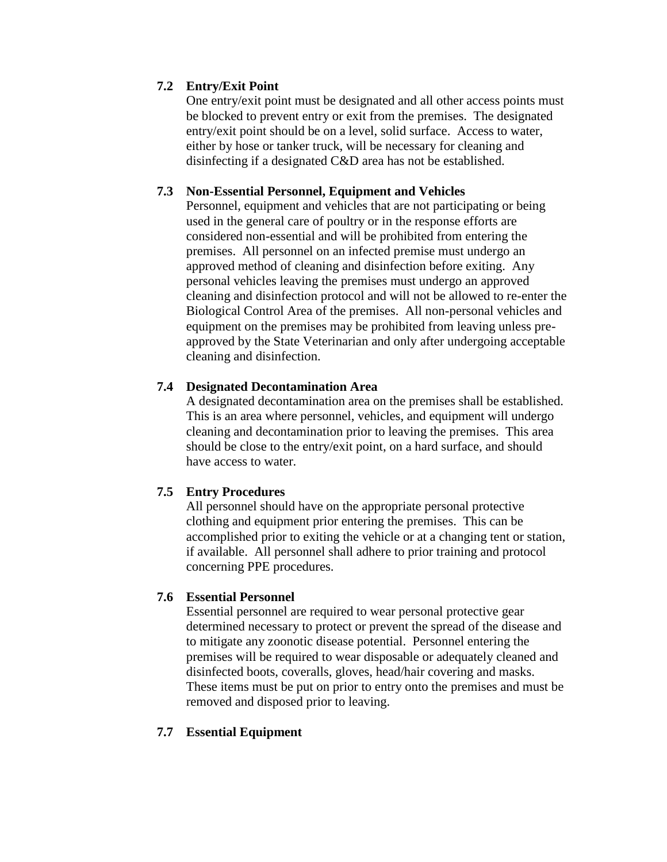#### **7.2 Entry/Exit Point**

One entry/exit point must be designated and all other access points must be blocked to prevent entry or exit from the premises. The designated entry/exit point should be on a level, solid surface. Access to water, either by hose or tanker truck, will be necessary for cleaning and disinfecting if a designated C&D area has not be established.

#### **7.3 Non-Essential Personnel, Equipment and Vehicles**

Personnel, equipment and vehicles that are not participating or being used in the general care of poultry or in the response efforts are considered non-essential and will be prohibited from entering the premises. All personnel on an infected premise must undergo an approved method of cleaning and disinfection before exiting. Any personal vehicles leaving the premises must undergo an approved cleaning and disinfection protocol and will not be allowed to re-enter the Biological Control Area of the premises. All non-personal vehicles and equipment on the premises may be prohibited from leaving unless preapproved by the State Veterinarian and only after undergoing acceptable cleaning and disinfection.

#### **7.4 Designated Decontamination Area**

A designated decontamination area on the premises shall be established. This is an area where personnel, vehicles, and equipment will undergo cleaning and decontamination prior to leaving the premises. This area should be close to the entry/exit point, on a hard surface, and should have access to water.

#### **7.5 Entry Procedures**

All personnel should have on the appropriate personal protective clothing and equipment prior entering the premises. This can be accomplished prior to exiting the vehicle or at a changing tent or station, if available. All personnel shall adhere to prior training and protocol concerning PPE procedures.

#### **7.6 Essential Personnel**

Essential personnel are required to wear personal protective gear determined necessary to protect or prevent the spread of the disease and to mitigate any zoonotic disease potential. Personnel entering the premises will be required to wear disposable or adequately cleaned and disinfected boots, coveralls, gloves, head/hair covering and masks. These items must be put on prior to entry onto the premises and must be removed and disposed prior to leaving.

#### **7.7 Essential Equipment**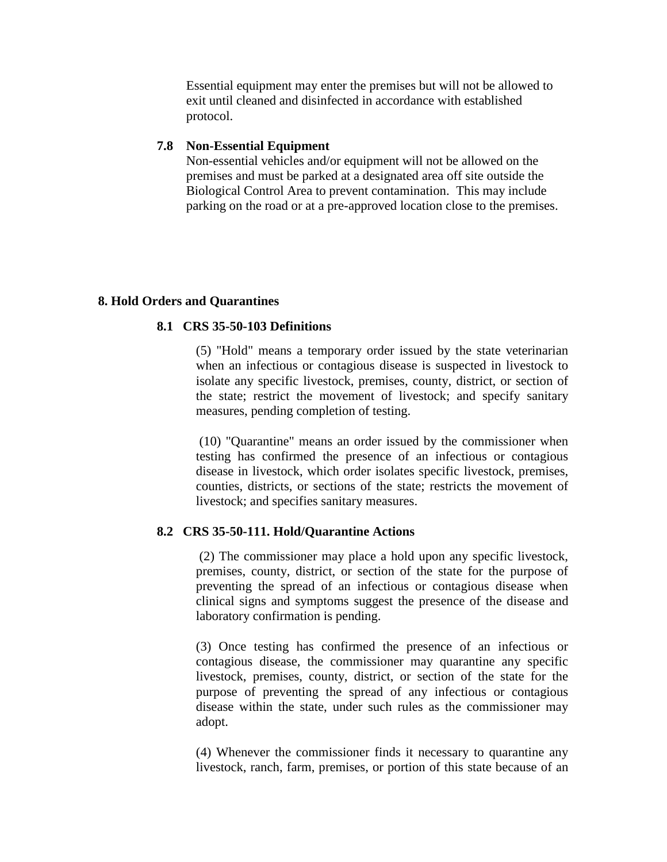Essential equipment may enter the premises but will not be allowed to exit until cleaned and disinfected in accordance with established protocol.

#### **7.8 Non-Essential Equipment**

Non-essential vehicles and/or equipment will not be allowed on the premises and must be parked at a designated area off site outside the Biological Control Area to prevent contamination. This may include parking on the road or at a pre-approved location close to the premises.

#### **8. Hold Orders and Quarantines**

#### **8.1 CRS 35-50-103 Definitions**

(5) "Hold" means a temporary order issued by the state veterinarian when an infectious or contagious disease is suspected in livestock to isolate any specific livestock, premises, county, district, or section of the state; restrict the movement of livestock; and specify sanitary measures, pending completion of testing.

(10) "Quarantine" means an order issued by the commissioner when testing has confirmed the presence of an infectious or contagious disease in livestock, which order isolates specific livestock, premises, counties, districts, or sections of the state; restricts the movement of livestock; and specifies sanitary measures.

#### **8.2 CRS 35-50-111. Hold/Quarantine Actions**

(2) The commissioner may place a hold upon any specific livestock, premises, county, district, or section of the state for the purpose of preventing the spread of an infectious or contagious disease when clinical signs and symptoms suggest the presence of the disease and laboratory confirmation is pending.

(3) Once testing has confirmed the presence of an infectious or contagious disease, the commissioner may quarantine any specific livestock, premises, county, district, or section of the state for the purpose of preventing the spread of any infectious or contagious disease within the state, under such rules as the commissioner may adopt.

(4) Whenever the commissioner finds it necessary to quarantine any livestock, ranch, farm, premises, or portion of this state because of an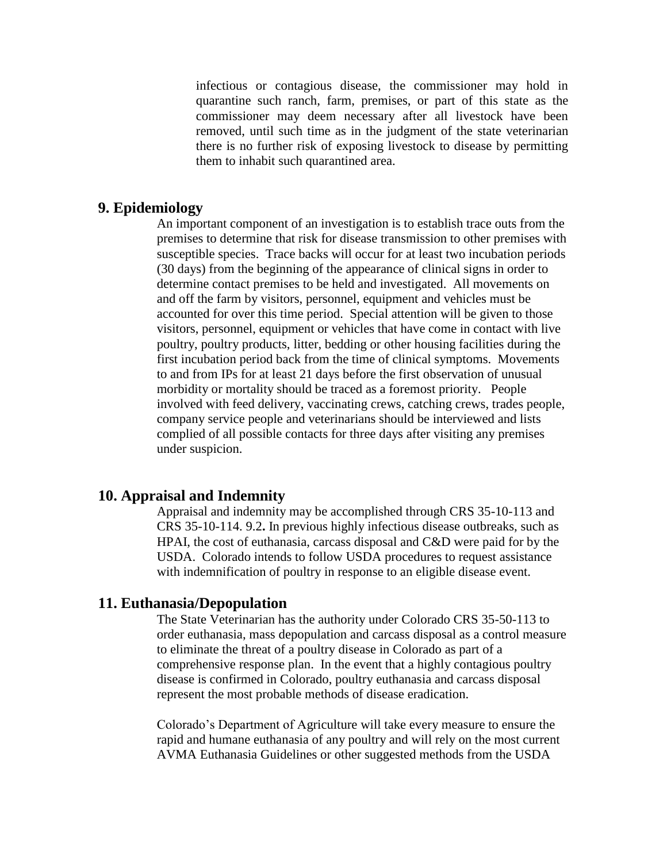infectious or contagious disease, the commissioner may hold in quarantine such ranch, farm, premises, or part of this state as the commissioner may deem necessary after all livestock have been removed, until such time as in the judgment of the state veterinarian there is no further risk of exposing livestock to disease by permitting them to inhabit such quarantined area.

#### **9. Epidemiology**

An important component of an investigation is to establish trace outs from the premises to determine that risk for disease transmission to other premises with susceptible species. Trace backs will occur for at least two incubation periods (30 days) from the beginning of the appearance of clinical signs in order to determine contact premises to be held and investigated. All movements on and off the farm by visitors, personnel, equipment and vehicles must be accounted for over this time period. Special attention will be given to those visitors, personnel, equipment or vehicles that have come in contact with live poultry, poultry products, litter, bedding or other housing facilities during the first incubation period back from the time of clinical symptoms. Movements to and from IPs for at least 21 days before the first observation of unusual morbidity or mortality should be traced as a foremost priority. People involved with feed delivery, vaccinating crews, catching crews, trades people, company service people and veterinarians should be interviewed and lists complied of all possible contacts for three days after visiting any premises under suspicion.

#### **10. Appraisal and Indemnity**

Appraisal and indemnity may be accomplished through CRS 35-10-113 and CRS 35-10-114. 9.2**.** In previous highly infectious disease outbreaks, such as HPAI, the cost of euthanasia, carcass disposal and C&D were paid for by the USDA. Colorado intends to follow USDA procedures to request assistance with indemnification of poultry in response to an eligible disease event.

#### **11. Euthanasia/Depopulation**

The State Veterinarian has the authority under Colorado CRS 35-50-113 to order euthanasia, mass depopulation and carcass disposal as a control measure to eliminate the threat of a poultry disease in Colorado as part of a comprehensive response plan. In the event that a highly contagious poultry disease is confirmed in Colorado, poultry euthanasia and carcass disposal represent the most probable methods of disease eradication.

Colorado's Department of Agriculture will take every measure to ensure the rapid and humane euthanasia of any poultry and will rely on the most current AVMA Euthanasia Guidelines or other suggested methods from the USDA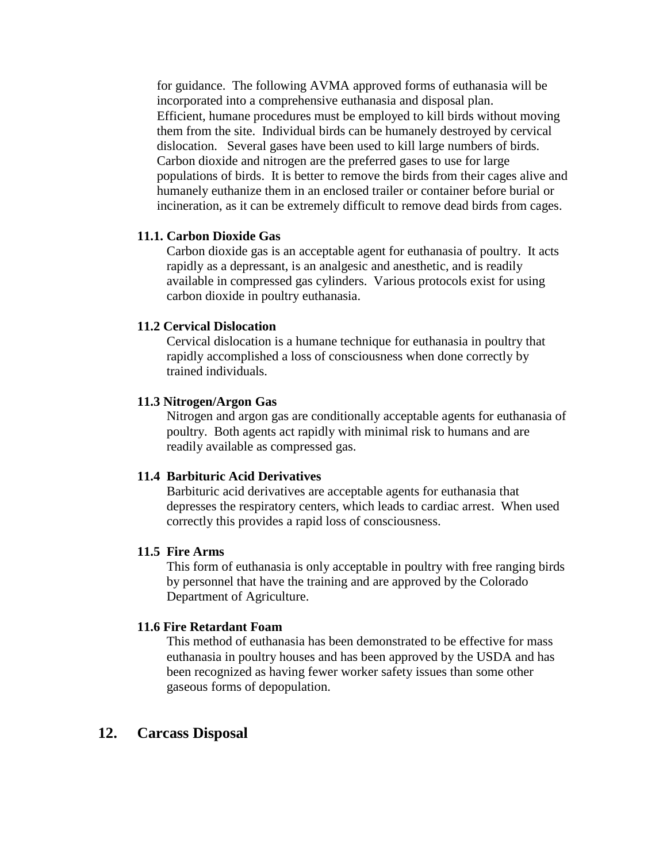for guidance. The following AVMA approved forms of euthanasia will be incorporated into a comprehensive euthanasia and disposal plan. Efficient, humane procedures must be employed to kill birds without moving them from the site. Individual birds can be humanely destroyed by cervical dislocation. Several gases have been used to kill large numbers of birds. Carbon dioxide and nitrogen are the preferred gases to use for large populations of birds. It is better to remove the birds from their cages alive and humanely euthanize them in an enclosed trailer or container before burial or incineration, as it can be extremely difficult to remove dead birds from cages.

#### **11.1. Carbon Dioxide Gas**

Carbon dioxide gas is an acceptable agent for euthanasia of poultry. It acts rapidly as a depressant, is an analgesic and anesthetic, and is readily available in compressed gas cylinders. Various protocols exist for using carbon dioxide in poultry euthanasia.

#### **11.2 Cervical Dislocation**

Cervical dislocation is a humane technique for euthanasia in poultry that rapidly accomplished a loss of consciousness when done correctly by trained individuals.

#### **11.3 Nitrogen/Argon Gas**

Nitrogen and argon gas are conditionally acceptable agents for euthanasia of poultry. Both agents act rapidly with minimal risk to humans and are readily available as compressed gas.

#### **11.4 Barbituric Acid Derivatives**

Barbituric acid derivatives are acceptable agents for euthanasia that depresses the respiratory centers, which leads to cardiac arrest. When used correctly this provides a rapid loss of consciousness.

#### **11.5 Fire Arms**

This form of euthanasia is only acceptable in poultry with free ranging birds by personnel that have the training and are approved by the Colorado Department of Agriculture.

#### **11.6 Fire Retardant Foam**

This method of euthanasia has been demonstrated to be effective for mass euthanasia in poultry houses and has been approved by the USDA and has been recognized as having fewer worker safety issues than some other gaseous forms of depopulation.

### **12. Carcass Disposal**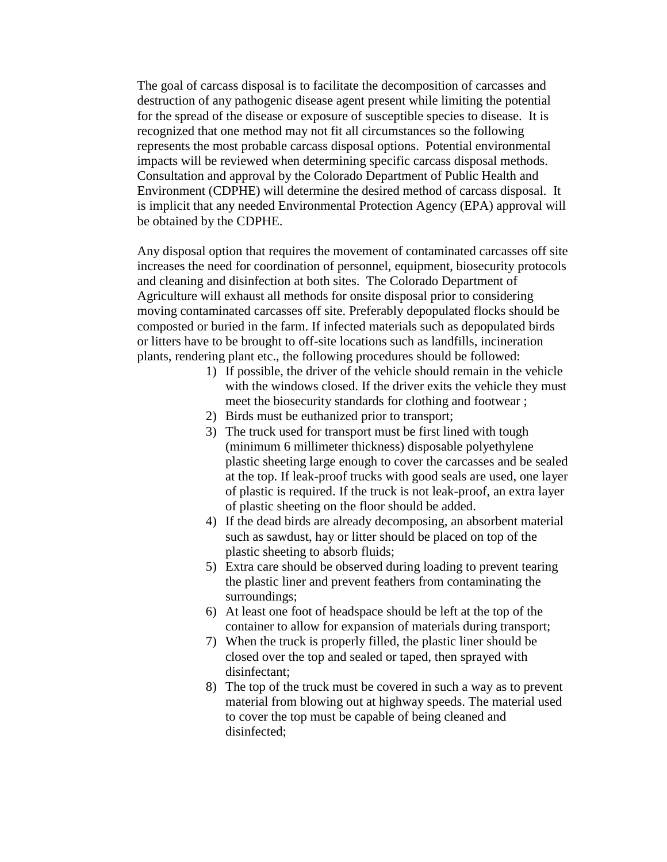The goal of carcass disposal is to facilitate the decomposition of carcasses and destruction of any pathogenic disease agent present while limiting the potential for the spread of the disease or exposure of susceptible species to disease. It is recognized that one method may not fit all circumstances so the following represents the most probable carcass disposal options. Potential environmental impacts will be reviewed when determining specific carcass disposal methods. Consultation and approval by the Colorado Department of Public Health and Environment (CDPHE) will determine the desired method of carcass disposal. It is implicit that any needed Environmental Protection Agency (EPA) approval will be obtained by the CDPHE.

Any disposal option that requires the movement of contaminated carcasses off site increases the need for coordination of personnel, equipment, biosecurity protocols and cleaning and disinfection at both sites. The Colorado Department of Agriculture will exhaust all methods for onsite disposal prior to considering moving contaminated carcasses off site. Preferably depopulated flocks should be composted or buried in the farm. If infected materials such as depopulated birds or litters have to be brought to off-site locations such as landfills, incineration plants, rendering plant etc., the following procedures should be followed:

- 1) If possible, the driver of the vehicle should remain in the vehicle with the windows closed. If the driver exits the vehicle they must meet the biosecurity standards for clothing and footwear ;
- 2) Birds must be euthanized prior to transport;
- 3) The truck used for transport must be first lined with tough (minimum 6 millimeter thickness) disposable polyethylene plastic sheeting large enough to cover the carcasses and be sealed at the top. If leak-proof trucks with good seals are used, one layer of plastic is required. If the truck is not leak-proof, an extra layer of plastic sheeting on the floor should be added.
- 4) If the dead birds are already decomposing, an absorbent material such as sawdust, hay or litter should be placed on top of the plastic sheeting to absorb fluids;
- 5) Extra care should be observed during loading to prevent tearing the plastic liner and prevent feathers from contaminating the surroundings;
- 6) At least one foot of headspace should be left at the top of the container to allow for expansion of materials during transport;
- 7) When the truck is properly filled, the plastic liner should be closed over the top and sealed or taped, then sprayed with disinfectant;
- 8) The top of the truck must be covered in such a way as to prevent material from blowing out at highway speeds. The material used to cover the top must be capable of being cleaned and disinfected;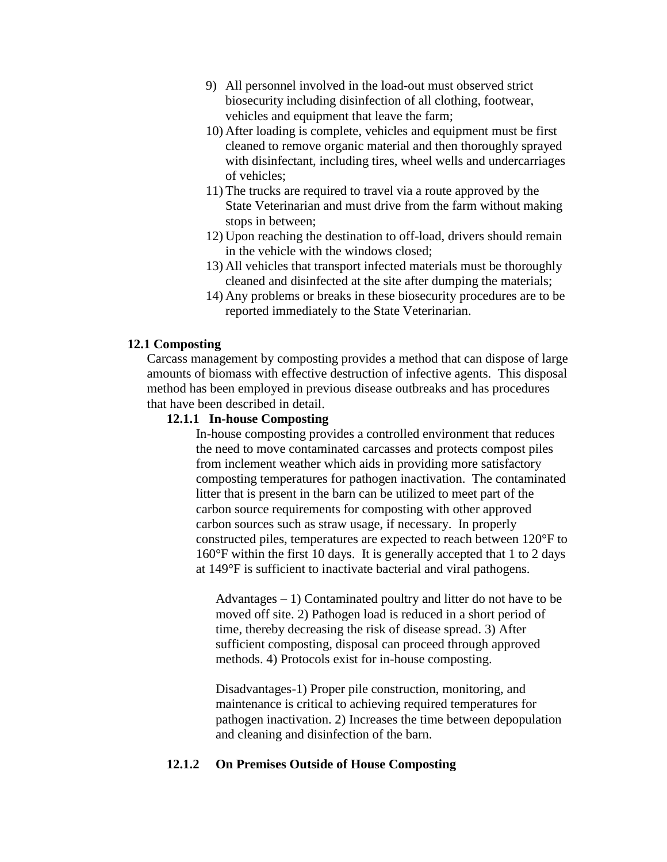- 9) All personnel involved in the load-out must observed strict biosecurity including disinfection of all clothing, footwear, vehicles and equipment that leave the farm;
- 10) After loading is complete, vehicles and equipment must be first cleaned to remove organic material and then thoroughly sprayed with disinfectant, including tires, wheel wells and undercarriages of vehicles;
- 11) The trucks are required to travel via a route approved by the State Veterinarian and must drive from the farm without making stops in between;
- 12) Upon reaching the destination to off-load, drivers should remain in the vehicle with the windows closed;
- 13) All vehicles that transport infected materials must be thoroughly cleaned and disinfected at the site after dumping the materials;
- 14) Any problems or breaks in these biosecurity procedures are to be reported immediately to the State Veterinarian.

#### **12.1 Composting**

Carcass management by composting provides a method that can dispose of large amounts of biomass with effective destruction of infective agents. This disposal method has been employed in previous disease outbreaks and has procedures that have been described in detail.

#### **12.1.1 In-house Composting**

In-house composting provides a controlled environment that reduces the need to move contaminated carcasses and protects compost piles from inclement weather which aids in providing more satisfactory composting temperatures for pathogen inactivation. The contaminated litter that is present in the barn can be utilized to meet part of the carbon source requirements for composting with other approved carbon sources such as straw usage, if necessary. In properly constructed piles, temperatures are expected to reach between 120°F to 160°F within the first 10 days. It is generally accepted that 1 to 2 days at 149°F is sufficient to inactivate bacterial and viral pathogens.

Advantages – 1) Contaminated poultry and litter do not have to be moved off site. 2) Pathogen load is reduced in a short period of time, thereby decreasing the risk of disease spread. 3) After sufficient composting, disposal can proceed through approved methods. 4) Protocols exist for in-house composting.

Disadvantages-1) Proper pile construction, monitoring, and maintenance is critical to achieving required temperatures for pathogen inactivation. 2) Increases the time between depopulation and cleaning and disinfection of the barn.

#### **12.1.2 On Premises Outside of House Composting**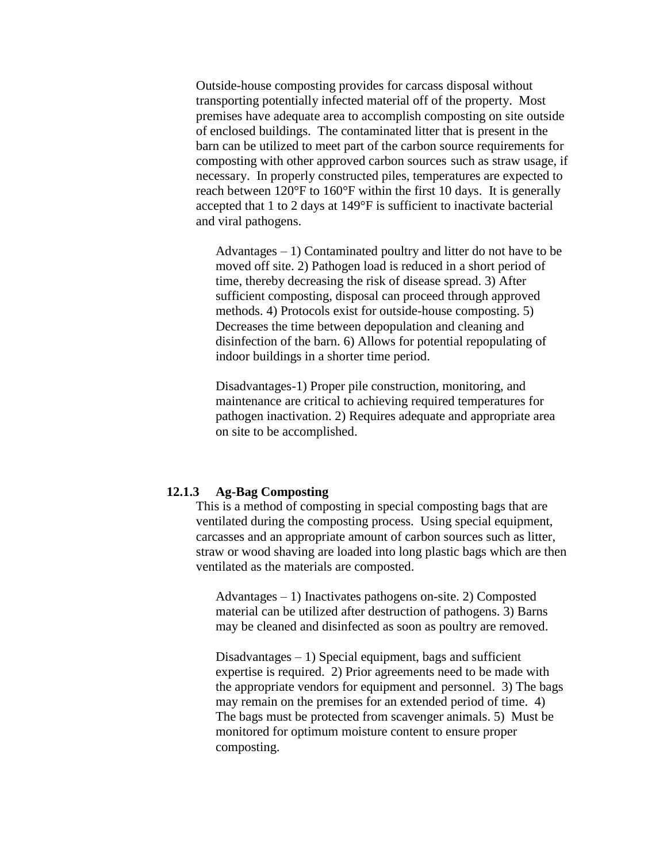Outside-house composting provides for carcass disposal without transporting potentially infected material off of the property. Most premises have adequate area to accomplish composting on site outside of enclosed buildings. The contaminated litter that is present in the barn can be utilized to meet part of the carbon source requirements for composting with other approved carbon sources such as straw usage, if necessary. In properly constructed piles, temperatures are expected to reach between 120°F to 160°F within the first 10 days. It is generally accepted that 1 to 2 days at 149°F is sufficient to inactivate bacterial and viral pathogens.

Advantages – 1) Contaminated poultry and litter do not have to be moved off site. 2) Pathogen load is reduced in a short period of time, thereby decreasing the risk of disease spread. 3) After sufficient composting, disposal can proceed through approved methods. 4) Protocols exist for outside-house composting. 5) Decreases the time between depopulation and cleaning and disinfection of the barn. 6) Allows for potential repopulating of indoor buildings in a shorter time period.

Disadvantages-1) Proper pile construction, monitoring, and maintenance are critical to achieving required temperatures for pathogen inactivation. 2) Requires adequate and appropriate area on site to be accomplished.

#### **12.1.3 Ag-Bag Composting**

This is a method of composting in special composting bags that are ventilated during the composting process. Using special equipment, carcasses and an appropriate amount of carbon sources such as litter, straw or wood shaving are loaded into long plastic bags which are then ventilated as the materials are composted.

Advantages – 1) Inactivates pathogens on-site. 2) Composted material can be utilized after destruction of pathogens. 3) Barns may be cleaned and disinfected as soon as poultry are removed.

Disadvantages  $-1$ ) Special equipment, bags and sufficient expertise is required. 2) Prior agreements need to be made with the appropriate vendors for equipment and personnel. 3) The bags may remain on the premises for an extended period of time. 4) The bags must be protected from scavenger animals. 5) Must be monitored for optimum moisture content to ensure proper composting.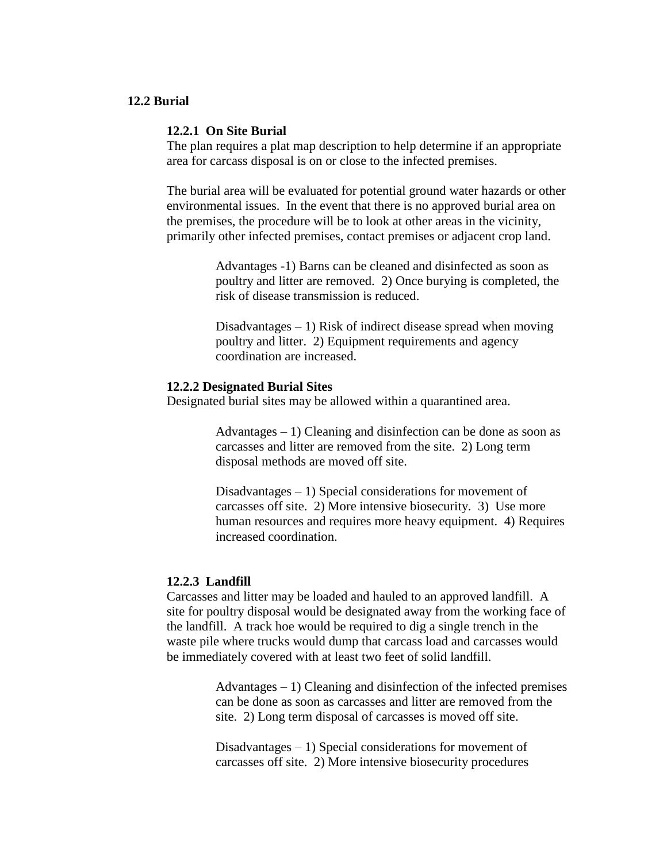#### **12.2 Burial**

#### **12.2.1 On Site Burial**

The plan requires a plat map description to help determine if an appropriate area for carcass disposal is on or close to the infected premises.

The burial area will be evaluated for potential ground water hazards or other environmental issues. In the event that there is no approved burial area on the premises, the procedure will be to look at other areas in the vicinity, primarily other infected premises, contact premises or adjacent crop land.

> Advantages -1) Barns can be cleaned and disinfected as soon as poultry and litter are removed. 2) Once burying is completed, the risk of disease transmission is reduced.

Disadvantages – 1) Risk of indirect disease spread when moving poultry and litter. 2) Equipment requirements and agency coordination are increased.

#### **12.2.2 Designated Burial Sites**

Designated burial sites may be allowed within a quarantined area.

Advantages – 1) Cleaning and disinfection can be done as soon as carcasses and litter are removed from the site. 2) Long term disposal methods are moved off site.

Disadvantages  $-1$ ) Special considerations for movement of carcasses off site. 2) More intensive biosecurity. 3) Use more human resources and requires more heavy equipment. 4) Requires increased coordination.

#### **12.2.3 Landfill**

Carcasses and litter may be loaded and hauled to an approved landfill. A site for poultry disposal would be designated away from the working face of the landfill. A track hoe would be required to dig a single trench in the waste pile where trucks would dump that carcass load and carcasses would be immediately covered with at least two feet of solid landfill.

> Advantages – 1) Cleaning and disinfection of the infected premises can be done as soon as carcasses and litter are removed from the site. 2) Long term disposal of carcasses is moved off site.

Disadvantages – 1) Special considerations for movement of carcasses off site. 2) More intensive biosecurity procedures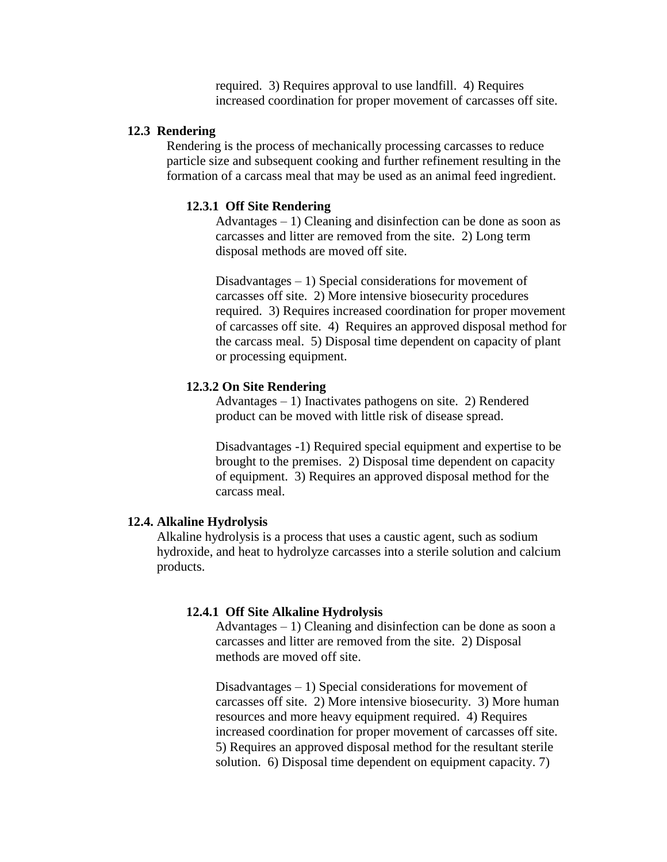required. 3) Requires approval to use landfill. 4) Requires increased coordination for proper movement of carcasses off site.

#### **12.3 Rendering**

Rendering is the process of mechanically processing carcasses to reduce particle size and subsequent cooking and further refinement resulting in the formation of a carcass meal that may be used as an animal feed ingredient.

#### **12.3.1 Off Site Rendering**

Advantages  $-1$ ) Cleaning and disinfection can be done as soon as carcasses and litter are removed from the site. 2) Long term disposal methods are moved off site.

Disadvantages  $-1$ ) Special considerations for movement of carcasses off site. 2) More intensive biosecurity procedures required. 3) Requires increased coordination for proper movement of carcasses off site. 4) Requires an approved disposal method for the carcass meal. 5) Disposal time dependent on capacity of plant or processing equipment.

#### **12.3.2 On Site Rendering**

Advantages – 1) Inactivates pathogens on site. 2) Rendered product can be moved with little risk of disease spread.

Disadvantages -1) Required special equipment and expertise to be brought to the premises. 2) Disposal time dependent on capacity of equipment. 3) Requires an approved disposal method for the carcass meal.

#### **12.4. Alkaline Hydrolysis**

Alkaline hydrolysis is a process that uses a caustic agent, such as sodium hydroxide, and heat to hydrolyze carcasses into a sterile solution and calcium products.

#### **12.4.1 Off Site Alkaline Hydrolysis**

Advantages  $-1$ ) Cleaning and disinfection can be done as soon a carcasses and litter are removed from the site. 2) Disposal methods are moved off site.

Disadvantages – 1) Special considerations for movement of carcasses off site. 2) More intensive biosecurity. 3) More human resources and more heavy equipment required. 4) Requires increased coordination for proper movement of carcasses off site. 5) Requires an approved disposal method for the resultant sterile solution. 6) Disposal time dependent on equipment capacity. 7)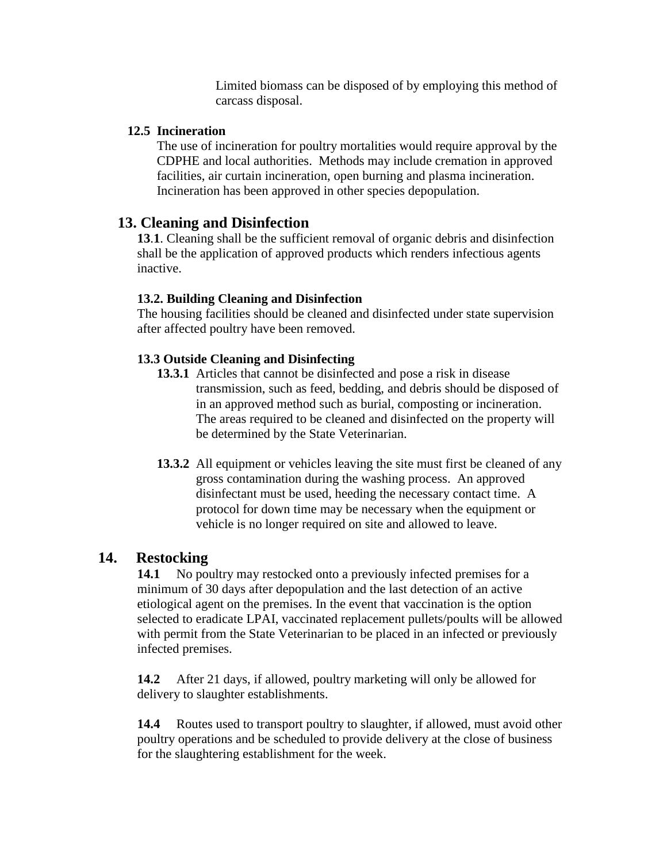Limited biomass can be disposed of by employing this method of carcass disposal.

#### **12.5 Incineration**

The use of incineration for poultry mortalities would require approval by the CDPHE and local authorities. Methods may include cremation in approved facilities, air curtain incineration, open burning and plasma incineration. Incineration has been approved in other species depopulation.

### **13. Cleaning and Disinfection**

**13**.**1**. Cleaning shall be the sufficient removal of organic debris and disinfection shall be the application of approved products which renders infectious agents inactive.

### **13.2. Building Cleaning and Disinfection**

The housing facilities should be cleaned and disinfected under state supervision after affected poultry have been removed.

### **13.3 Outside Cleaning and Disinfecting**

- **13.3.1** Articles that cannot be disinfected and pose a risk in disease transmission, such as feed, bedding, and debris should be disposed of in an approved method such as burial, composting or incineration. The areas required to be cleaned and disinfected on the property will be determined by the State Veterinarian.
- **13.3.2** All equipment or vehicles leaving the site must first be cleaned of any gross contamination during the washing process. An approved disinfectant must be used, heeding the necessary contact time. A protocol for down time may be necessary when the equipment or vehicle is no longer required on site and allowed to leave.

### **14. Restocking**

14.1 No poultry may restocked onto a previously infected premises for a minimum of 30 days after depopulation and the last detection of an active etiological agent on the premises. In the event that vaccination is the option selected to eradicate LPAI, vaccinated replacement pullets/poults will be allowed with permit from the State Veterinarian to be placed in an infected or previously infected premises.

**14.2** After 21 days, if allowed, poultry marketing will only be allowed for delivery to slaughter establishments.

**14.4** Routes used to transport poultry to slaughter, if allowed, must avoid other poultry operations and be scheduled to provide delivery at the close of business for the slaughtering establishment for the week.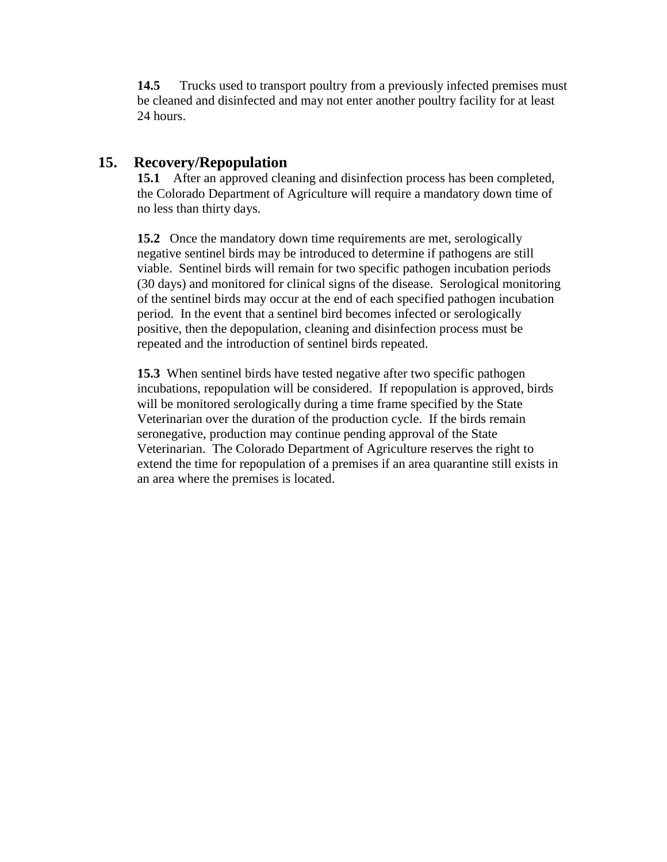**14.5** Trucks used to transport poultry from a previously infected premises must be cleaned and disinfected and may not enter another poultry facility for at least 24 hours.

### **15. Recovery/Repopulation**

**15.1** After an approved cleaning and disinfection process has been completed, the Colorado Department of Agriculture will require a mandatory down time of no less than thirty days.

**15.2** Once the mandatory down time requirements are met, serologically negative sentinel birds may be introduced to determine if pathogens are still viable. Sentinel birds will remain for two specific pathogen incubation periods (30 days) and monitored for clinical signs of the disease. Serological monitoring of the sentinel birds may occur at the end of each specified pathogen incubation period. In the event that a sentinel bird becomes infected or serologically positive, then the depopulation, cleaning and disinfection process must be repeated and the introduction of sentinel birds repeated.

**15.3** When sentinel birds have tested negative after two specific pathogen incubations, repopulation will be considered. If repopulation is approved, birds will be monitored serologically during a time frame specified by the State Veterinarian over the duration of the production cycle. If the birds remain seronegative, production may continue pending approval of the State Veterinarian. The Colorado Department of Agriculture reserves the right to extend the time for repopulation of a premises if an area quarantine still exists in an area where the premises is located.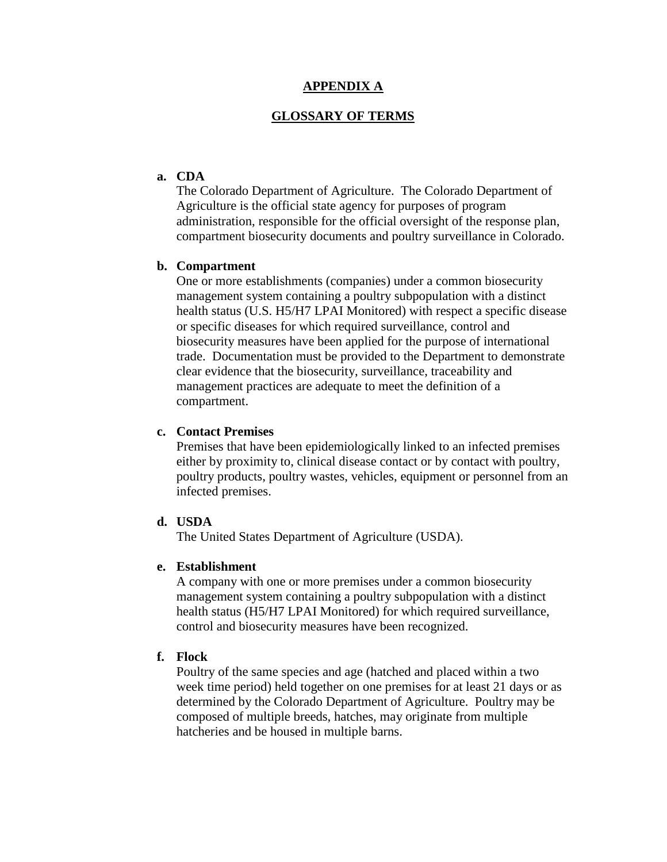#### **APPENDIX A**

#### **GLOSSARY OF TERMS**

#### **a. CDA**

The Colorado Department of Agriculture. The Colorado Department of Agriculture is the official state agency for purposes of program administration, responsible for the official oversight of the response plan, compartment biosecurity documents and poultry surveillance in Colorado.

#### **b. Compartment**

One or more establishments (companies) under a common biosecurity management system containing a poultry subpopulation with a distinct health status (U.S. H5/H7 LPAI Monitored) with respect a specific disease or specific diseases for which required surveillance, control and biosecurity measures have been applied for the purpose of international trade. Documentation must be provided to the Department to demonstrate clear evidence that the biosecurity, surveillance, traceability and management practices are adequate to meet the definition of a compartment.

#### **c. Contact Premises**

Premises that have been epidemiologically linked to an infected premises either by proximity to, clinical disease contact or by contact with poultry, poultry products, poultry wastes, vehicles, equipment or personnel from an infected premises.

#### **d. USDA**

The United States Department of Agriculture (USDA).

#### **e. Establishment**

A company with one or more premises under a common biosecurity management system containing a poultry subpopulation with a distinct health status (H5/H7 LPAI Monitored) for which required surveillance, control and biosecurity measures have been recognized.

#### **f. Flock**

Poultry of the same species and age (hatched and placed within a two week time period) held together on one premises for at least 21 days or as determined by the Colorado Department of Agriculture. Poultry may be composed of multiple breeds, hatches, may originate from multiple hatcheries and be housed in multiple barns.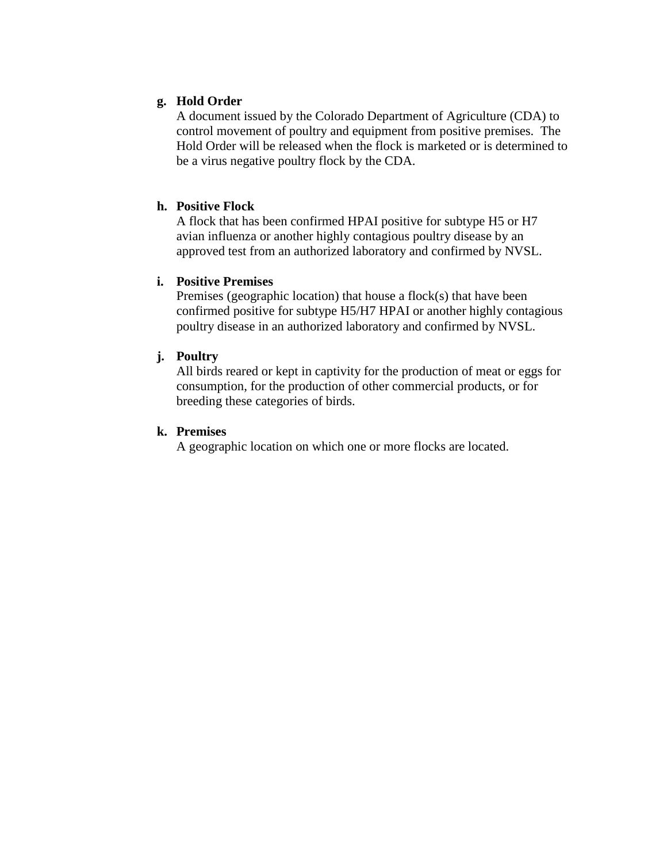#### **g. Hold Order**

A document issued by the Colorado Department of Agriculture (CDA) to control movement of poultry and equipment from positive premises. The Hold Order will be released when the flock is marketed or is determined to be a virus negative poultry flock by the CDA.

#### **h. Positive Flock**

A flock that has been confirmed HPAI positive for subtype H5 or H7 avian influenza or another highly contagious poultry disease by an approved test from an authorized laboratory and confirmed by NVSL.

#### **i. Positive Premises**

Premises (geographic location) that house a flock(s) that have been confirmed positive for subtype H5/H7 HPAI or another highly contagious poultry disease in an authorized laboratory and confirmed by NVSL.

#### **j. Poultry**

All birds reared or kept in captivity for the production of meat or eggs for consumption, for the production of other commercial products, or for breeding these categories of birds.

#### **k. Premises**

A geographic location on which one or more flocks are located.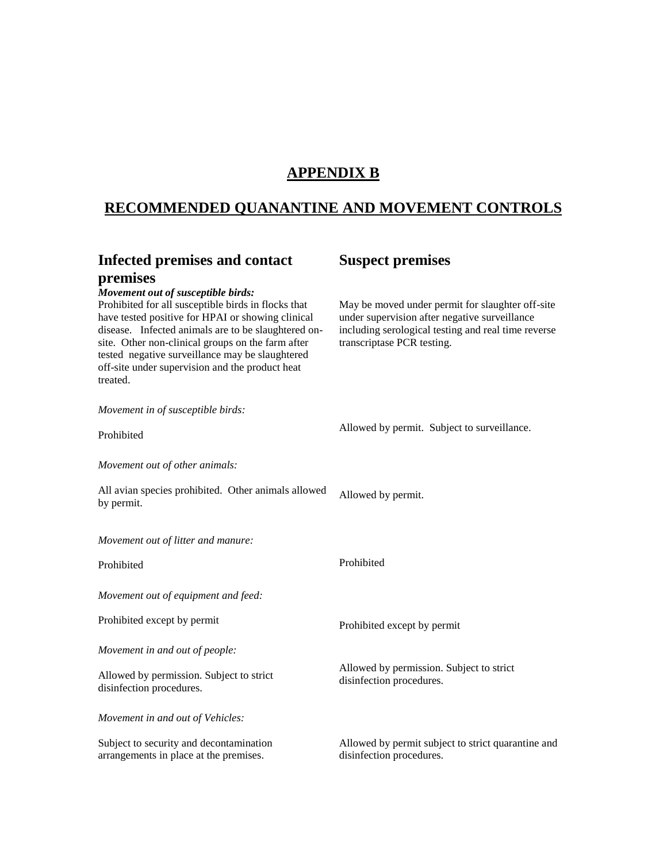# **APPENDIX B**

# **RECOMMENDED QUANANTINE AND MOVEMENT CONTROLS**

| <b>Infected premises and contact</b>                                                                                                                                                                                                                                                                                                                                                     | <b>Suspect premises</b><br>May be moved under permit for slaughter off-site<br>under supervision after negative surveillance<br>including serological testing and real time reverse<br>transcriptase PCR testing. |  |
|------------------------------------------------------------------------------------------------------------------------------------------------------------------------------------------------------------------------------------------------------------------------------------------------------------------------------------------------------------------------------------------|-------------------------------------------------------------------------------------------------------------------------------------------------------------------------------------------------------------------|--|
| premises<br>Movement out of susceptible birds:<br>Prohibited for all susceptible birds in flocks that<br>have tested positive for HPAI or showing clinical<br>disease. Infected animals are to be slaughtered on-<br>site. Other non-clinical groups on the farm after<br>tested negative surveillance may be slaughtered<br>off-site under supervision and the product heat<br>treated. |                                                                                                                                                                                                                   |  |
| Movement in of susceptible birds:<br>Prohibited                                                                                                                                                                                                                                                                                                                                          | Allowed by permit. Subject to surveillance.                                                                                                                                                                       |  |
| Movement out of other animals:<br>All avian species prohibited. Other animals allowed<br>by permit.                                                                                                                                                                                                                                                                                      | Allowed by permit.                                                                                                                                                                                                |  |
| Movement out of litter and manure:<br>Prohibited                                                                                                                                                                                                                                                                                                                                         | Prohibited                                                                                                                                                                                                        |  |
| Movement out of equipment and feed:<br>Prohibited except by permit                                                                                                                                                                                                                                                                                                                       | Prohibited except by permit                                                                                                                                                                                       |  |
| Movement in and out of people:<br>Allowed by permission. Subject to strict<br>disinfection procedures.                                                                                                                                                                                                                                                                                   | Allowed by permission. Subject to strict<br>disinfection procedures.                                                                                                                                              |  |
| Movement in and out of Vehicles:                                                                                                                                                                                                                                                                                                                                                         |                                                                                                                                                                                                                   |  |
| Subject to security and decontamination<br>arrangements in place at the premises.                                                                                                                                                                                                                                                                                                        | Allowed by permit subject to strict quarantine and<br>disinfection procedures.                                                                                                                                    |  |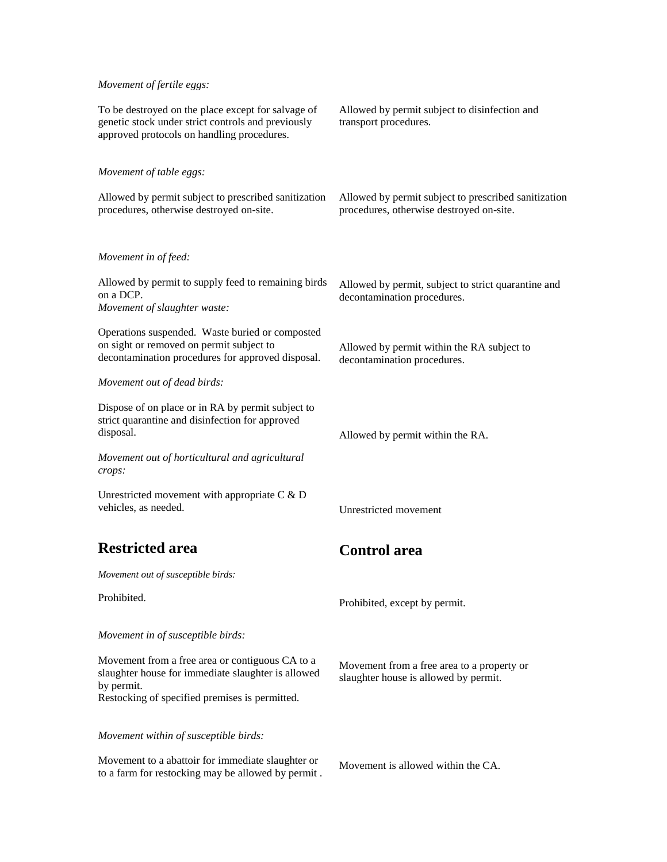#### *Movement of fertile eggs:*

To be destroyed on the place except for salvage of genetic stock under strict controls and previously approved protocols on handling procedures. *Movement of table eggs:* Allowed by permit subject to prescribed sanitization procedures, otherwise destroyed on-site. *Movement in of feed:* Allowed by permit to supply feed to remaining birds on a DCP. *Movement of slaughter waste:* Operations suspended. Waste buried or composted on sight or removed on permit subject to decontamination procedures for approved disposal. *Movement out of dead birds:* Dispose of on place or in RA by permit subject to strict quarantine and disinfection for approved disposal. *Movement out of horticultural and agricultural crops:* Unrestricted movement with appropriate C & D vehicles, as needed. **Restricted area** *Movement out of susceptible birds:* Prohibited. Allowed by permit subject to disinfection and transport procedures. Allowed by permit subject to prescribed sanitization procedures, otherwise destroyed on-site. Allowed by permit, subject to strict quarantine and decontamination procedures. Allowed by permit within the RA subject to decontamination procedures. Allowed by permit within the RA. Unrestricted movement **Control area** Prohibited, except by permit.

*Movement in of susceptible birds:*

Movement from a free area or contiguous CA to a slaughter house for immediate slaughter is allowed by permit. Restocking of specified premises is permitted.

*Movement within of susceptible birds:*

Movement to a abattoir for immediate slaughter or to a farm for restocking may be allowed by permit . Movement from a free area to a property or slaughter house is allowed by permit.

Movement is allowed within the CA.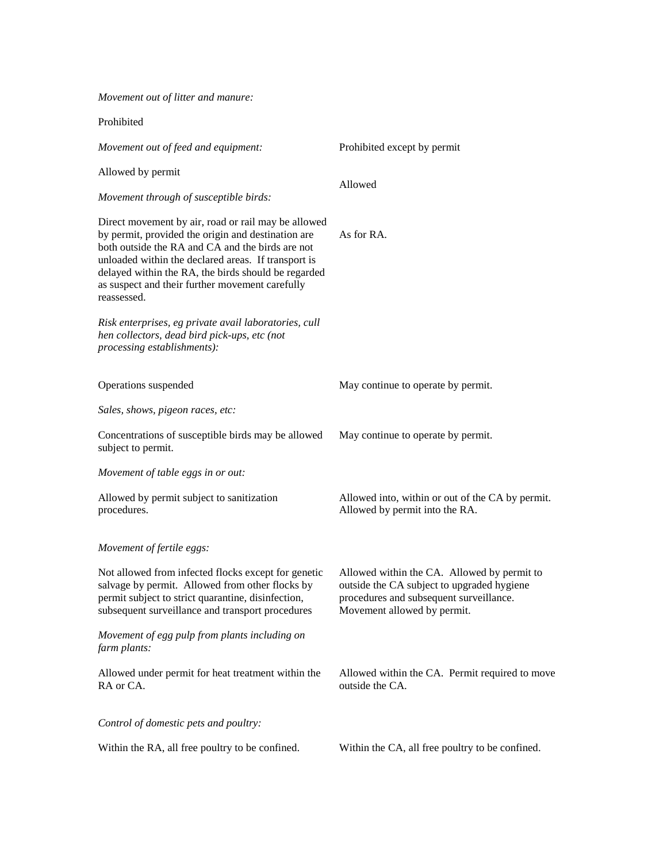*Movement out of litter and manure:*

Prohibited

| Movement out of feed and equipment:                                                                                                                                                                                                                                                                                                           | Prohibited except by permit                                                                                                                                         |  |
|-----------------------------------------------------------------------------------------------------------------------------------------------------------------------------------------------------------------------------------------------------------------------------------------------------------------------------------------------|---------------------------------------------------------------------------------------------------------------------------------------------------------------------|--|
| Allowed by permit                                                                                                                                                                                                                                                                                                                             | Allowed                                                                                                                                                             |  |
| Movement through of susceptible birds:                                                                                                                                                                                                                                                                                                        |                                                                                                                                                                     |  |
| Direct movement by air, road or rail may be allowed<br>by permit, provided the origin and destination are<br>both outside the RA and CA and the birds are not<br>unloaded within the declared areas. If transport is<br>delayed within the RA, the birds should be regarded<br>as suspect and their further movement carefully<br>reassessed. | As for RA.                                                                                                                                                          |  |
| Risk enterprises, eg private avail laboratories, cull<br>hen collectors, dead bird pick-ups, etc (not<br>processing establishments):                                                                                                                                                                                                          |                                                                                                                                                                     |  |
| Operations suspended                                                                                                                                                                                                                                                                                                                          | May continue to operate by permit.                                                                                                                                  |  |
| Sales, shows, pigeon races, etc:                                                                                                                                                                                                                                                                                                              |                                                                                                                                                                     |  |
| Concentrations of susceptible birds may be allowed<br>subject to permit.                                                                                                                                                                                                                                                                      | May continue to operate by permit.                                                                                                                                  |  |
| Movement of table eggs in or out:                                                                                                                                                                                                                                                                                                             |                                                                                                                                                                     |  |
| Allowed by permit subject to sanitization<br>procedures.                                                                                                                                                                                                                                                                                      | Allowed into, within or out of the CA by permit.<br>Allowed by permit into the RA.                                                                                  |  |
| Movement of fertile eggs:                                                                                                                                                                                                                                                                                                                     |                                                                                                                                                                     |  |
| Not allowed from infected flocks except for genetic<br>salvage by permit. Allowed from other flocks by<br>permit subject to strict quarantine, disinfection,<br>subsequent surveillance and transport procedures                                                                                                                              | Allowed within the CA. Allowed by permit to<br>outside the CA subject to upgraded hygiene<br>procedures and subsequent surveillance.<br>Movement allowed by permit. |  |
| Movement of egg pulp from plants including on<br>farm plants:                                                                                                                                                                                                                                                                                 |                                                                                                                                                                     |  |
| Allowed under permit for heat treatment within the<br>RA or CA.                                                                                                                                                                                                                                                                               | Allowed within the CA. Permit required to move<br>outside the CA.                                                                                                   |  |
| Control of domestic pets and poultry:                                                                                                                                                                                                                                                                                                         |                                                                                                                                                                     |  |
| Within the RA, all free poultry to be confined.                                                                                                                                                                                                                                                                                               | Within the CA, all free poultry to be confined.                                                                                                                     |  |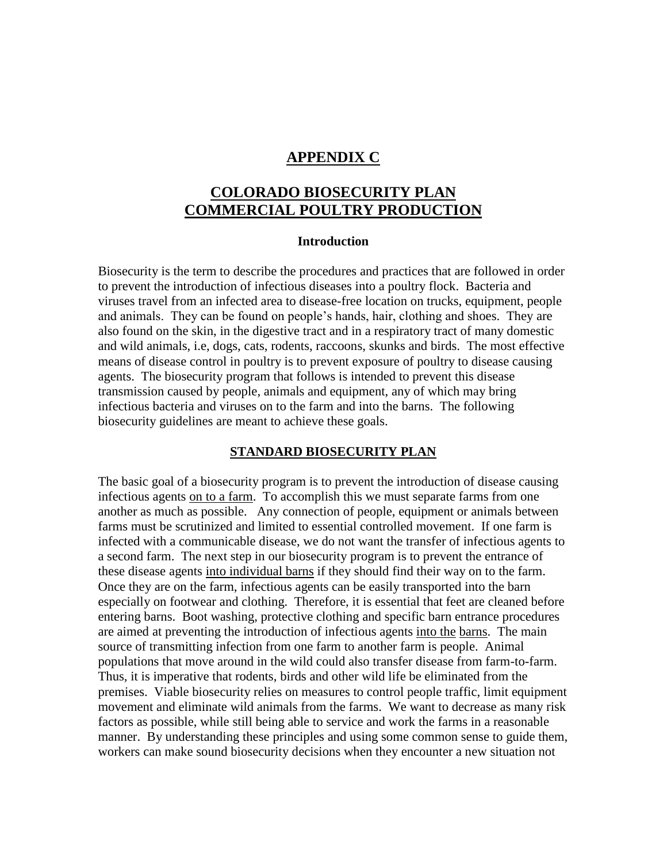### **APPENDIX C**

### **COLORADO BIOSECURITY PLAN COMMERCIAL POULTRY PRODUCTION**

#### **Introduction**

Biosecurity is the term to describe the procedures and practices that are followed in order to prevent the introduction of infectious diseases into a poultry flock. Bacteria and viruses travel from an infected area to disease-free location on trucks, equipment, people and animals. They can be found on people's hands, hair, clothing and shoes. They are also found on the skin, in the digestive tract and in a respiratory tract of many domestic and wild animals, i.e, dogs, cats, rodents, raccoons, skunks and birds. The most effective means of disease control in poultry is to prevent exposure of poultry to disease causing agents. The biosecurity program that follows is intended to prevent this disease transmission caused by people, animals and equipment, any of which may bring infectious bacteria and viruses on to the farm and into the barns. The following biosecurity guidelines are meant to achieve these goals.

#### **STANDARD BIOSECURITY PLAN**

The basic goal of a biosecurity program is to prevent the introduction of disease causing infectious agents on to a farm. To accomplish this we must separate farms from one another as much as possible. Any connection of people, equipment or animals between farms must be scrutinized and limited to essential controlled movement. If one farm is infected with a communicable disease, we do not want the transfer of infectious agents to a second farm. The next step in our biosecurity program is to prevent the entrance of these disease agents into individual barns if they should find their way on to the farm. Once they are on the farm, infectious agents can be easily transported into the barn especially on footwear and clothing. Therefore, it is essential that feet are cleaned before entering barns. Boot washing, protective clothing and specific barn entrance procedures are aimed at preventing the introduction of infectious agents into the barns. The main source of transmitting infection from one farm to another farm is people. Animal populations that move around in the wild could also transfer disease from farm-to-farm. Thus, it is imperative that rodents, birds and other wild life be eliminated from the premises. Viable biosecurity relies on measures to control people traffic, limit equipment movement and eliminate wild animals from the farms. We want to decrease as many risk factors as possible, while still being able to service and work the farms in a reasonable manner. By understanding these principles and using some common sense to guide them, workers can make sound biosecurity decisions when they encounter a new situation not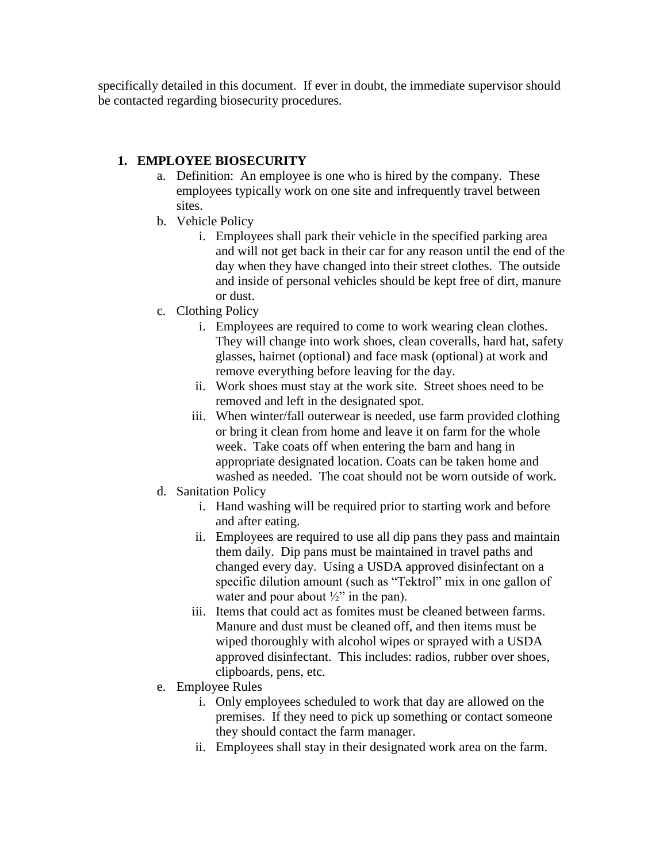specifically detailed in this document. If ever in doubt, the immediate supervisor should be contacted regarding biosecurity procedures.

### **1. EMPLOYEE BIOSECURITY**

- a. Definition: An employee is one who is hired by the company. These employees typically work on one site and infrequently travel between sites.
- b. Vehicle Policy
	- i. Employees shall park their vehicle in the specified parking area and will not get back in their car for any reason until the end of the day when they have changed into their street clothes. The outside and inside of personal vehicles should be kept free of dirt, manure or dust.
- c. Clothing Policy
	- i. Employees are required to come to work wearing clean clothes. They will change into work shoes, clean coveralls, hard hat, safety glasses, hairnet (optional) and face mask (optional) at work and remove everything before leaving for the day.
	- ii. Work shoes must stay at the work site. Street shoes need to be removed and left in the designated spot.
	- iii. When winter/fall outerwear is needed, use farm provided clothing or bring it clean from home and leave it on farm for the whole week. Take coats off when entering the barn and hang in appropriate designated location. Coats can be taken home and washed as needed. The coat should not be worn outside of work.
- d. Sanitation Policy
	- i. Hand washing will be required prior to starting work and before and after eating.
	- ii. Employees are required to use all dip pans they pass and maintain them daily. Dip pans must be maintained in travel paths and changed every day. Using a USDA approved disinfectant on a specific dilution amount (such as "Tektrol" mix in one gallon of water and pour about  $\frac{1}{2}$  in the pan).
	- iii. Items that could act as fomites must be cleaned between farms. Manure and dust must be cleaned off, and then items must be wiped thoroughly with alcohol wipes or sprayed with a USDA approved disinfectant. This includes: radios, rubber over shoes, clipboards, pens, etc.
- e. Employee Rules
	- i. Only employees scheduled to work that day are allowed on the premises. If they need to pick up something or contact someone they should contact the farm manager.
	- ii. Employees shall stay in their designated work area on the farm.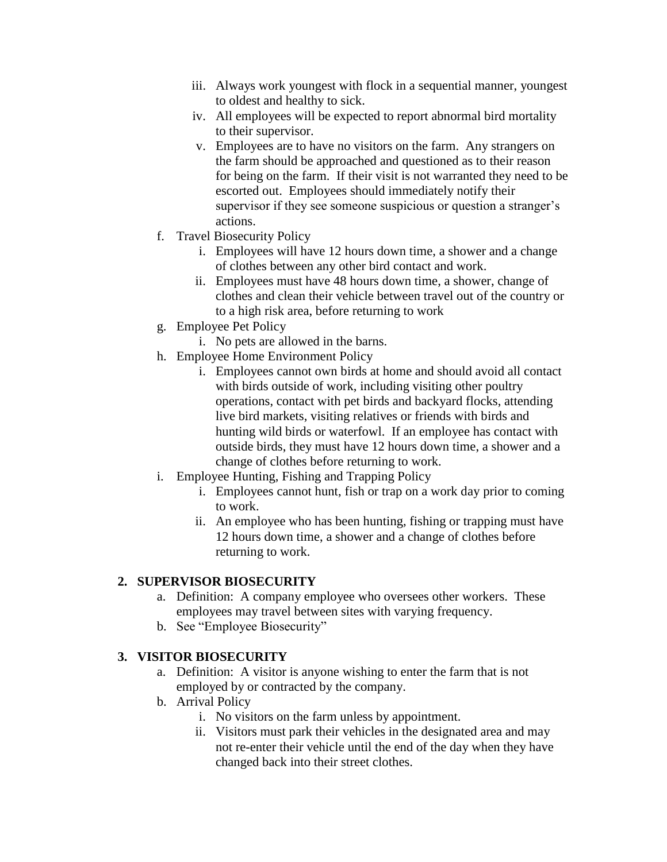- iii. Always work youngest with flock in a sequential manner, youngest to oldest and healthy to sick.
- iv. All employees will be expected to report abnormal bird mortality to their supervisor.
- v. Employees are to have no visitors on the farm. Any strangers on the farm should be approached and questioned as to their reason for being on the farm. If their visit is not warranted they need to be escorted out. Employees should immediately notify their supervisor if they see someone suspicious or question a stranger's actions.
- f. Travel Biosecurity Policy
	- i. Employees will have 12 hours down time, a shower and a change of clothes between any other bird contact and work.
	- ii. Employees must have 48 hours down time, a shower, change of clothes and clean their vehicle between travel out of the country or to a high risk area, before returning to work
- g. Employee Pet Policy
	- i. No pets are allowed in the barns.
- h. Employee Home Environment Policy
	- i. Employees cannot own birds at home and should avoid all contact with birds outside of work, including visiting other poultry operations, contact with pet birds and backyard flocks, attending live bird markets, visiting relatives or friends with birds and hunting wild birds or waterfowl. If an employee has contact with outside birds, they must have 12 hours down time, a shower and a change of clothes before returning to work.
- i. Employee Hunting, Fishing and Trapping Policy
	- i. Employees cannot hunt, fish or trap on a work day prior to coming to work.
	- ii. An employee who has been hunting, fishing or trapping must have 12 hours down time, a shower and a change of clothes before returning to work.

#### **2. SUPERVISOR BIOSECURITY**

- a. Definition: A company employee who oversees other workers. These employees may travel between sites with varying frequency.
- b. See "Employee Biosecurity"

#### **3. VISITOR BIOSECURITY**

- a. Definition: A visitor is anyone wishing to enter the farm that is not employed by or contracted by the company.
- b. Arrival Policy
	- i. No visitors on the farm unless by appointment.
	- ii. Visitors must park their vehicles in the designated area and may not re-enter their vehicle until the end of the day when they have changed back into their street clothes.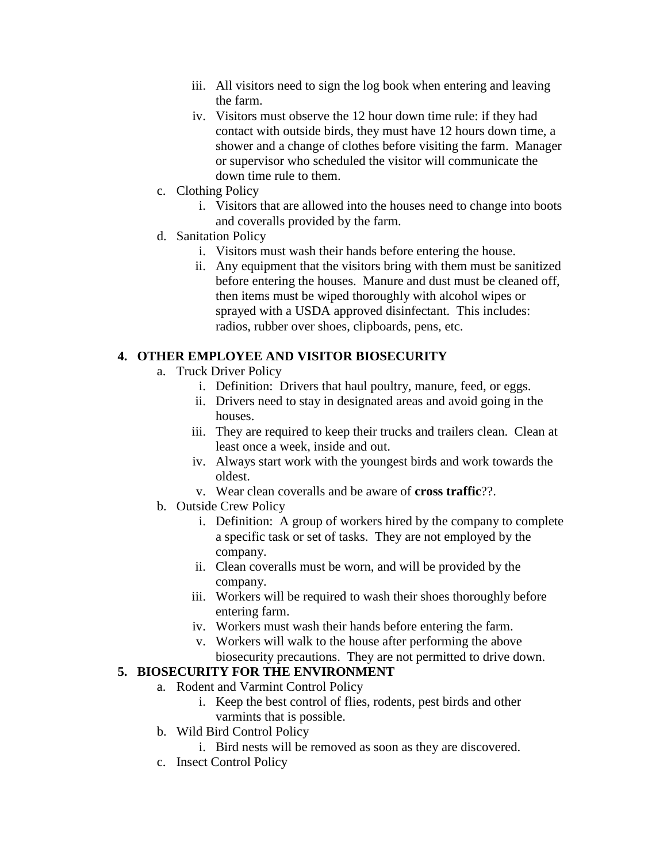- iii. All visitors need to sign the log book when entering and leaving the farm.
- iv. Visitors must observe the 12 hour down time rule: if they had contact with outside birds, they must have 12 hours down time, a shower and a change of clothes before visiting the farm. Manager or supervisor who scheduled the visitor will communicate the down time rule to them.
- c. Clothing Policy
	- i. Visitors that are allowed into the houses need to change into boots and coveralls provided by the farm.
- d. Sanitation Policy
	- i. Visitors must wash their hands before entering the house.
	- ii. Any equipment that the visitors bring with them must be sanitized before entering the houses. Manure and dust must be cleaned off, then items must be wiped thoroughly with alcohol wipes or sprayed with a USDA approved disinfectant. This includes: radios, rubber over shoes, clipboards, pens, etc.

#### **4. OTHER EMPLOYEE AND VISITOR BIOSECURITY**

- a. Truck Driver Policy
	- i. Definition: Drivers that haul poultry, manure, feed, or eggs.
	- ii. Drivers need to stay in designated areas and avoid going in the houses.
	- iii. They are required to keep their trucks and trailers clean. Clean at least once a week, inside and out.
	- iv. Always start work with the youngest birds and work towards the oldest.
	- v. Wear clean coveralls and be aware of **cross traffic**??.
- b. Outside Crew Policy
	- i. Definition: A group of workers hired by the company to complete a specific task or set of tasks. They are not employed by the company.
	- ii. Clean coveralls must be worn, and will be provided by the company.
	- iii. Workers will be required to wash their shoes thoroughly before entering farm.
	- iv. Workers must wash their hands before entering the farm.
	- v. Workers will walk to the house after performing the above
		- biosecurity precautions. They are not permitted to drive down.

### **5. BIOSECURITY FOR THE ENVIRONMENT**

- a. Rodent and Varmint Control Policy
	- i. Keep the best control of flies, rodents, pest birds and other varmints that is possible.
- b. Wild Bird Control Policy
	- i. Bird nests will be removed as soon as they are discovered.
- c. Insect Control Policy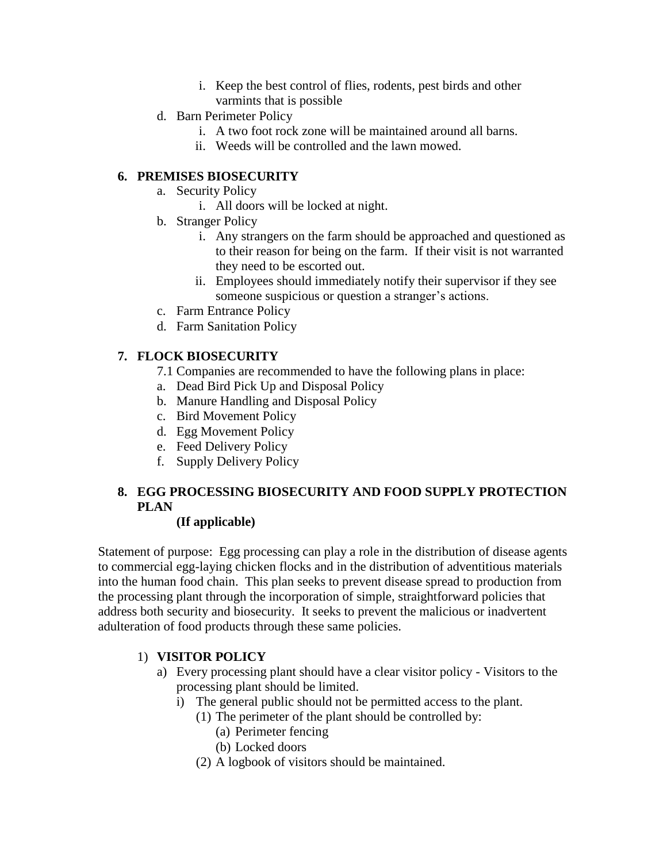- i. Keep the best control of flies, rodents, pest birds and other varmints that is possible
- d. Barn Perimeter Policy
	- i. A two foot rock zone will be maintained around all barns.
	- ii. Weeds will be controlled and the lawn mowed.

### **6. PREMISES BIOSECURITY**

- a. Security Policy
	- i. All doors will be locked at night.
- b. Stranger Policy
	- i. Any strangers on the farm should be approached and questioned as to their reason for being on the farm. If their visit is not warranted they need to be escorted out.
	- ii. Employees should immediately notify their supervisor if they see someone suspicious or question a stranger's actions.
- c. Farm Entrance Policy
- d. Farm Sanitation Policy

### **7. FLOCK BIOSECURITY**

- 7.1 Companies are recommended to have the following plans in place:
- a. Dead Bird Pick Up and Disposal Policy
- b. Manure Handling and Disposal Policy
- c. Bird Movement Policy
- d. Egg Movement Policy
- e. Feed Delivery Policy
- f. Supply Delivery Policy

### **8. EGG PROCESSING BIOSECURITY AND FOOD SUPPLY PROTECTION PLAN**

#### **(If applicable)**

Statement of purpose: Egg processing can play a role in the distribution of disease agents to commercial egg-laying chicken flocks and in the distribution of adventitious materials into the human food chain. This plan seeks to prevent disease spread to production from the processing plant through the incorporation of simple, straightforward policies that address both security and biosecurity. It seeks to prevent the malicious or inadvertent adulteration of food products through these same policies.

### 1) **VISITOR POLICY**

- a) Every processing plant should have a clear visitor policy Visitors to the processing plant should be limited.
	- i) The general public should not be permitted access to the plant. (1) The perimeter of the plant should be controlled by:
		- (a) Perimeter fencing
			- (b) Locked doors
		- (2) A logbook of visitors should be maintained.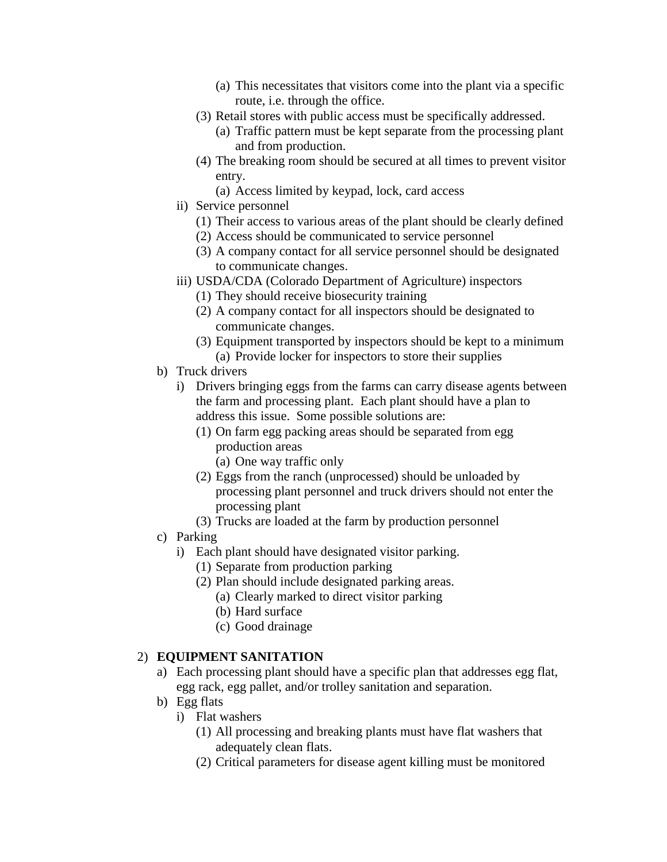- (a) This necessitates that visitors come into the plant via a specific route, i.e. through the office.
- (3) Retail stores with public access must be specifically addressed.
	- (a) Traffic pattern must be kept separate from the processing plant and from production.
- (4) The breaking room should be secured at all times to prevent visitor entry.
	- (a) Access limited by keypad, lock, card access
- ii) Service personnel
	- (1) Their access to various areas of the plant should be clearly defined
	- (2) Access should be communicated to service personnel
	- (3) A company contact for all service personnel should be designated to communicate changes.
- iii) USDA/CDA (Colorado Department of Agriculture) inspectors
	- (1) They should receive biosecurity training
	- (2) A company contact for all inspectors should be designated to communicate changes.
	- (3) Equipment transported by inspectors should be kept to a minimum (a) Provide locker for inspectors to store their supplies
- b) Truck drivers
	- i) Drivers bringing eggs from the farms can carry disease agents between the farm and processing plant. Each plant should have a plan to address this issue. Some possible solutions are:
		- (1) On farm egg packing areas should be separated from egg production areas
			- (a) One way traffic only
		- (2) Eggs from the ranch (unprocessed) should be unloaded by processing plant personnel and truck drivers should not enter the processing plant
		- (3) Trucks are loaded at the farm by production personnel
- c) Parking
	- i) Each plant should have designated visitor parking.
		- (1) Separate from production parking
		- (2) Plan should include designated parking areas.
			- (a) Clearly marked to direct visitor parking
			- (b) Hard surface
			- (c) Good drainage

### 2) **EQUIPMENT SANITATION**

- a) Each processing plant should have a specific plan that addresses egg flat, egg rack, egg pallet, and/or trolley sanitation and separation.
- b) Egg flats
	- i) Flat washers
		- (1) All processing and breaking plants must have flat washers that adequately clean flats.
		- (2) Critical parameters for disease agent killing must be monitored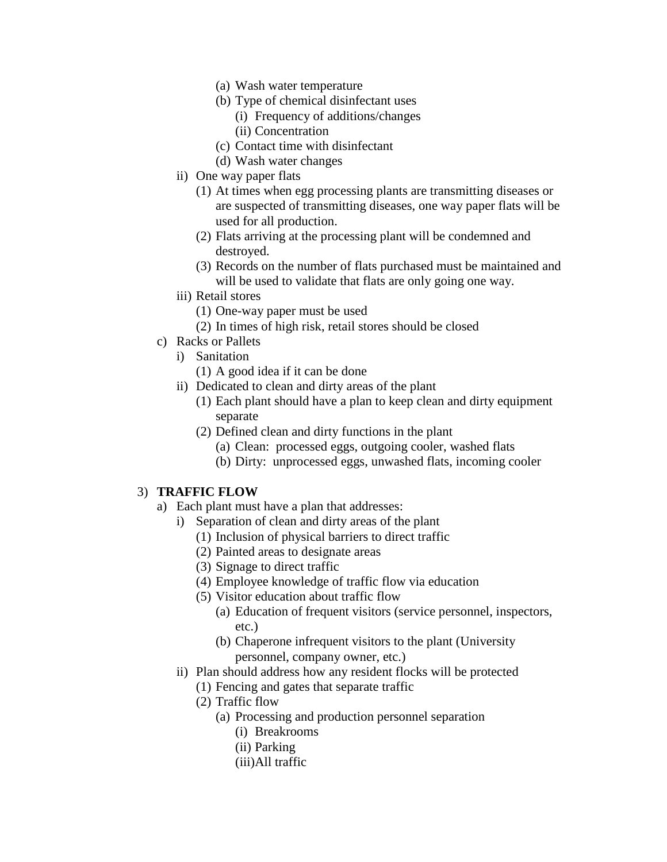- (a) Wash water temperature
- (b) Type of chemical disinfectant uses
	- (i) Frequency of additions/changes
	- (ii) Concentration
- (c) Contact time with disinfectant
- (d) Wash water changes
- ii) One way paper flats
	- (1) At times when egg processing plants are transmitting diseases or are suspected of transmitting diseases, one way paper flats will be used for all production.
	- (2) Flats arriving at the processing plant will be condemned and destroyed.
	- (3) Records on the number of flats purchased must be maintained and will be used to validate that flats are only going one way.
- iii) Retail stores
	- (1) One-way paper must be used
	- (2) In times of high risk, retail stores should be closed
- c) Racks or Pallets
	- i) Sanitation
		- (1) A good idea if it can be done
	- ii) Dedicated to clean and dirty areas of the plant
		- (1) Each plant should have a plan to keep clean and dirty equipment separate
		- (2) Defined clean and dirty functions in the plant
			- (a) Clean: processed eggs, outgoing cooler, washed flats
			- (b) Dirty: unprocessed eggs, unwashed flats, incoming cooler

#### 3) **TRAFFIC FLOW**

- a) Each plant must have a plan that addresses:
	- i) Separation of clean and dirty areas of the plant
		- (1) Inclusion of physical barriers to direct traffic
		- (2) Painted areas to designate areas
		- (3) Signage to direct traffic
		- (4) Employee knowledge of traffic flow via education
		- (5) Visitor education about traffic flow
			- (a) Education of frequent visitors (service personnel, inspectors, etc.)
			- (b) Chaperone infrequent visitors to the plant (University personnel, company owner, etc.)
	- ii) Plan should address how any resident flocks will be protected
		- (1) Fencing and gates that separate traffic
		- (2) Traffic flow
			- (a) Processing and production personnel separation
				- (i) Breakrooms
				- (ii) Parking
				- (iii)All traffic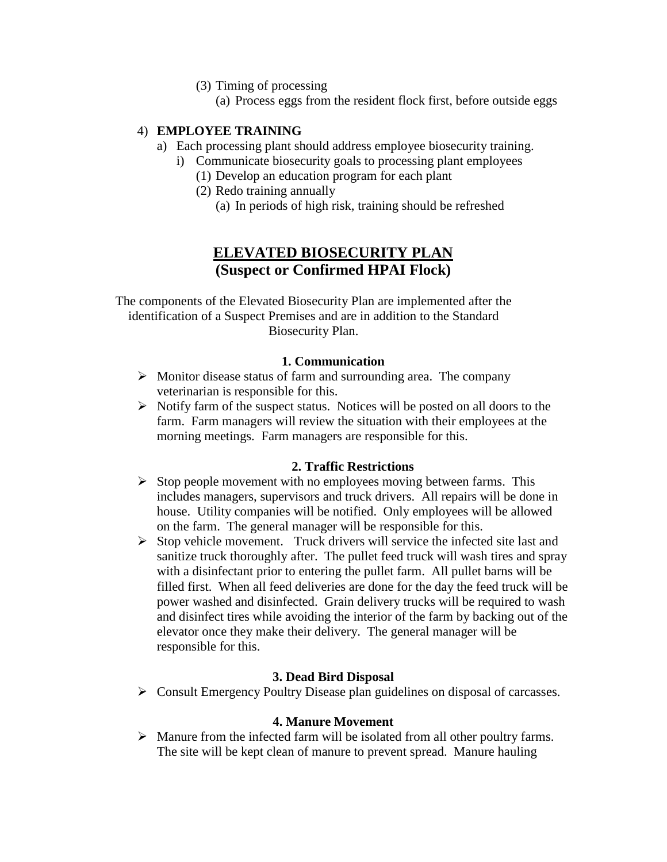- (3) Timing of processing
	- (a) Process eggs from the resident flock first, before outside eggs

#### 4) **EMPLOYEE TRAINING**

- a) Each processing plant should address employee biosecurity training.
	- i) Communicate biosecurity goals to processing plant employees
		- (1) Develop an education program for each plant
		- (2) Redo training annually
			- (a) In periods of high risk, training should be refreshed

### **ELEVATED BIOSECURITY PLAN (Suspect or Confirmed HPAI Flock)**

The components of the Elevated Biosecurity Plan are implemented after the identification of a Suspect Premises and are in addition to the Standard Biosecurity Plan.

#### **1. Communication**

- $\triangleright$  Monitor disease status of farm and surrounding area. The company veterinarian is responsible for this.
- $\triangleright$  Notify farm of the suspect status. Notices will be posted on all doors to the farm. Farm managers will review the situation with their employees at the morning meetings. Farm managers are responsible for this.

#### **2. Traffic Restrictions**

- $\triangleright$  Stop people movement with no employees moving between farms. This includes managers, supervisors and truck drivers. All repairs will be done in house. Utility companies will be notified. Only employees will be allowed on the farm. The general manager will be responsible for this.
- $\triangleright$  Stop vehicle movement. Truck drivers will service the infected site last and sanitize truck thoroughly after. The pullet feed truck will wash tires and spray with a disinfectant prior to entering the pullet farm. All pullet barns will be filled first. When all feed deliveries are done for the day the feed truck will be power washed and disinfected. Grain delivery trucks will be required to wash and disinfect tires while avoiding the interior of the farm by backing out of the elevator once they make their delivery. The general manager will be responsible for this.

#### **3. Dead Bird Disposal**

Consult Emergency Poultry Disease plan guidelines on disposal of carcasses.

#### **4. Manure Movement**

 $\triangleright$  Manure from the infected farm will be isolated from all other poultry farms. The site will be kept clean of manure to prevent spread. Manure hauling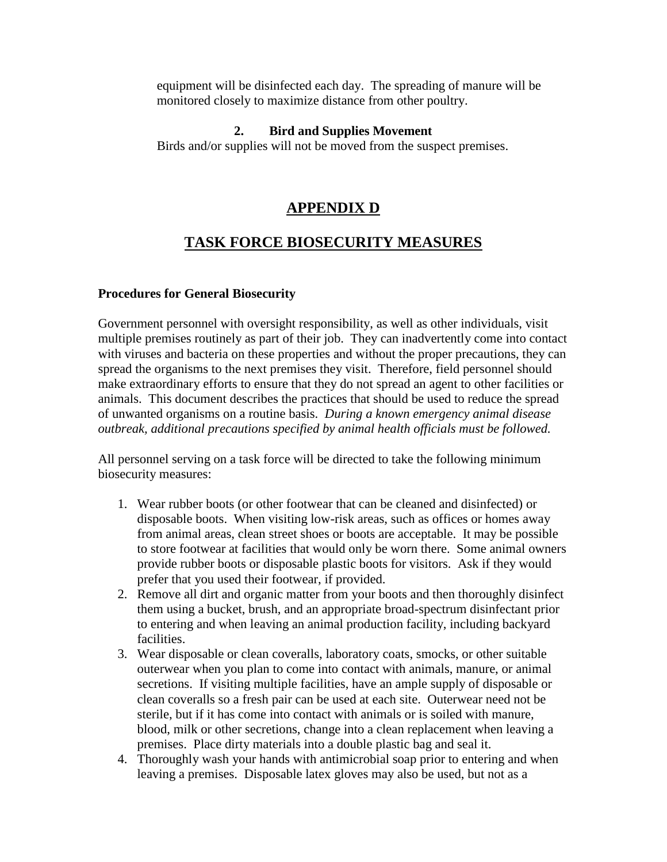equipment will be disinfected each day. The spreading of manure will be monitored closely to maximize distance from other poultry.

#### **2. Bird and Supplies Movement**

Birds and/or supplies will not be moved from the suspect premises.

# **APPENDIX D**

# **TASK FORCE BIOSECURITY MEASURES**

#### **Procedures for General Biosecurity**

Government personnel with oversight responsibility, as well as other individuals, visit multiple premises routinely as part of their job. They can inadvertently come into contact with viruses and bacteria on these properties and without the proper precautions, they can spread the organisms to the next premises they visit. Therefore, field personnel should make extraordinary efforts to ensure that they do not spread an agent to other facilities or animals. This document describes the practices that should be used to reduce the spread of unwanted organisms on a routine basis. *During a known emergency animal disease outbreak, additional precautions specified by animal health officials must be followed.*

All personnel serving on a task force will be directed to take the following minimum biosecurity measures:

- 1. Wear rubber boots (or other footwear that can be cleaned and disinfected) or disposable boots. When visiting low-risk areas, such as offices or homes away from animal areas, clean street shoes or boots are acceptable. It may be possible to store footwear at facilities that would only be worn there. Some animal owners provide rubber boots or disposable plastic boots for visitors. Ask if they would prefer that you used their footwear, if provided.
- 2. Remove all dirt and organic matter from your boots and then thoroughly disinfect them using a bucket, brush, and an appropriate broad-spectrum disinfectant prior to entering and when leaving an animal production facility, including backyard facilities.
- 3. Wear disposable or clean coveralls, laboratory coats, smocks, or other suitable outerwear when you plan to come into contact with animals, manure, or animal secretions. If visiting multiple facilities, have an ample supply of disposable or clean coveralls so a fresh pair can be used at each site. Outerwear need not be sterile, but if it has come into contact with animals or is soiled with manure, blood, milk or other secretions, change into a clean replacement when leaving a premises. Place dirty materials into a double plastic bag and seal it.
- 4. Thoroughly wash your hands with antimicrobial soap prior to entering and when leaving a premises. Disposable latex gloves may also be used, but not as a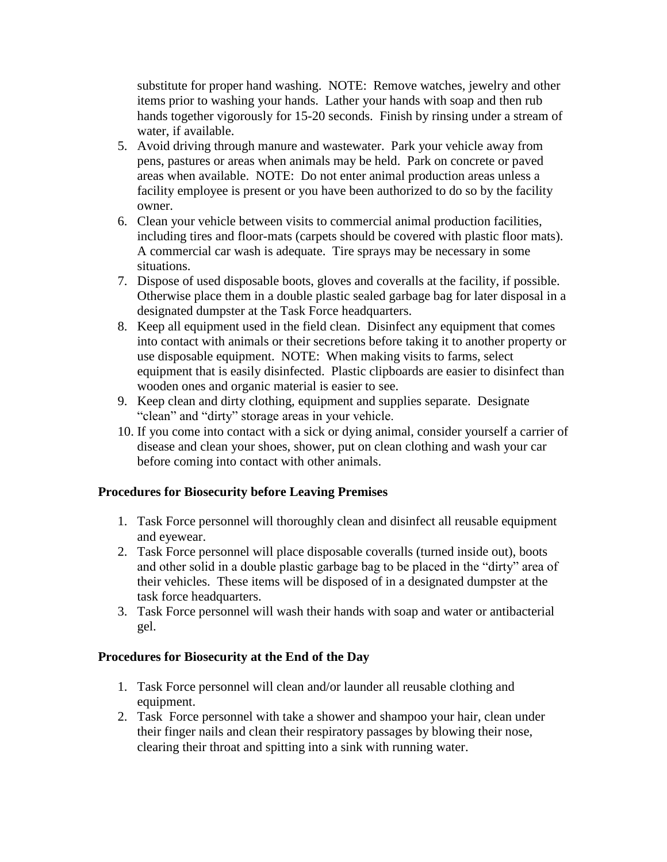substitute for proper hand washing. NOTE: Remove watches, jewelry and other items prior to washing your hands. Lather your hands with soap and then rub hands together vigorously for 15-20 seconds. Finish by rinsing under a stream of water, if available.

- 5. Avoid driving through manure and wastewater. Park your vehicle away from pens, pastures or areas when animals may be held. Park on concrete or paved areas when available. NOTE: Do not enter animal production areas unless a facility employee is present or you have been authorized to do so by the facility owner.
- 6. Clean your vehicle between visits to commercial animal production facilities, including tires and floor-mats (carpets should be covered with plastic floor mats). A commercial car wash is adequate. Tire sprays may be necessary in some situations.
- 7. Dispose of used disposable boots, gloves and coveralls at the facility, if possible. Otherwise place them in a double plastic sealed garbage bag for later disposal in a designated dumpster at the Task Force headquarters.
- 8. Keep all equipment used in the field clean. Disinfect any equipment that comes into contact with animals or their secretions before taking it to another property or use disposable equipment. NOTE: When making visits to farms, select equipment that is easily disinfected. Plastic clipboards are easier to disinfect than wooden ones and organic material is easier to see.
- 9. Keep clean and dirty clothing, equipment and supplies separate. Designate "clean" and "dirty" storage areas in your vehicle.
- 10. If you come into contact with a sick or dying animal, consider yourself a carrier of disease and clean your shoes, shower, put on clean clothing and wash your car before coming into contact with other animals.

#### **Procedures for Biosecurity before Leaving Premises**

- 1. Task Force personnel will thoroughly clean and disinfect all reusable equipment and eyewear.
- 2. Task Force personnel will place disposable coveralls (turned inside out), boots and other solid in a double plastic garbage bag to be placed in the "dirty" area of their vehicles. These items will be disposed of in a designated dumpster at the task force headquarters.
- 3. Task Force personnel will wash their hands with soap and water or antibacterial gel.

#### **Procedures for Biosecurity at the End of the Day**

- 1. Task Force personnel will clean and/or launder all reusable clothing and equipment.
- 2. Task Force personnel with take a shower and shampoo your hair, clean under their finger nails and clean their respiratory passages by blowing their nose, clearing their throat and spitting into a sink with running water.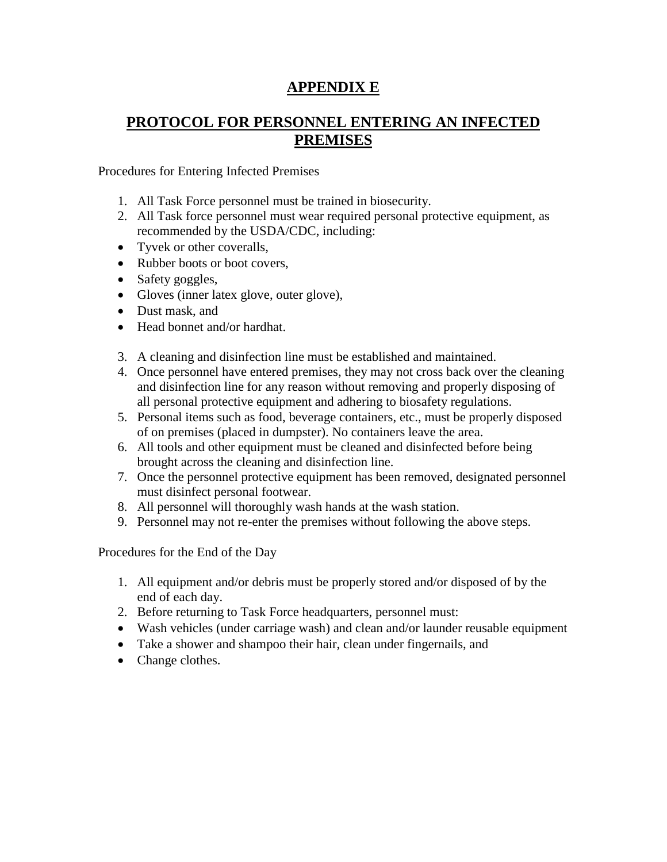# **APPENDIX E**

# **PROTOCOL FOR PERSONNEL ENTERING AN INFECTED PREMISES**

Procedures for Entering Infected Premises

- 1. All Task Force personnel must be trained in biosecurity.
- 2. All Task force personnel must wear required personal protective equipment, as recommended by the USDA/CDC, including:
- Tyvek or other coveralls,
- Rubber boots or boot covers,
- Safety goggles,
- Gloves (inner latex glove, outer glove),
- Dust mask, and
- Head bonnet and/or hardhat.
- 3. A cleaning and disinfection line must be established and maintained.
- 4. Once personnel have entered premises, they may not cross back over the cleaning and disinfection line for any reason without removing and properly disposing of all personal protective equipment and adhering to biosafety regulations.
- 5. Personal items such as food, beverage containers, etc., must be properly disposed of on premises (placed in dumpster). No containers leave the area.
- 6. All tools and other equipment must be cleaned and disinfected before being brought across the cleaning and disinfection line.
- 7. Once the personnel protective equipment has been removed, designated personnel must disinfect personal footwear.
- 8. All personnel will thoroughly wash hands at the wash station.
- 9. Personnel may not re-enter the premises without following the above steps.

Procedures for the End of the Day

- 1. All equipment and/or debris must be properly stored and/or disposed of by the end of each day.
- 2. Before returning to Task Force headquarters, personnel must:
- Wash vehicles (under carriage wash) and clean and/or launder reusable equipment
- Take a shower and shampoo their hair, clean under fingernails, and
- Change clothes.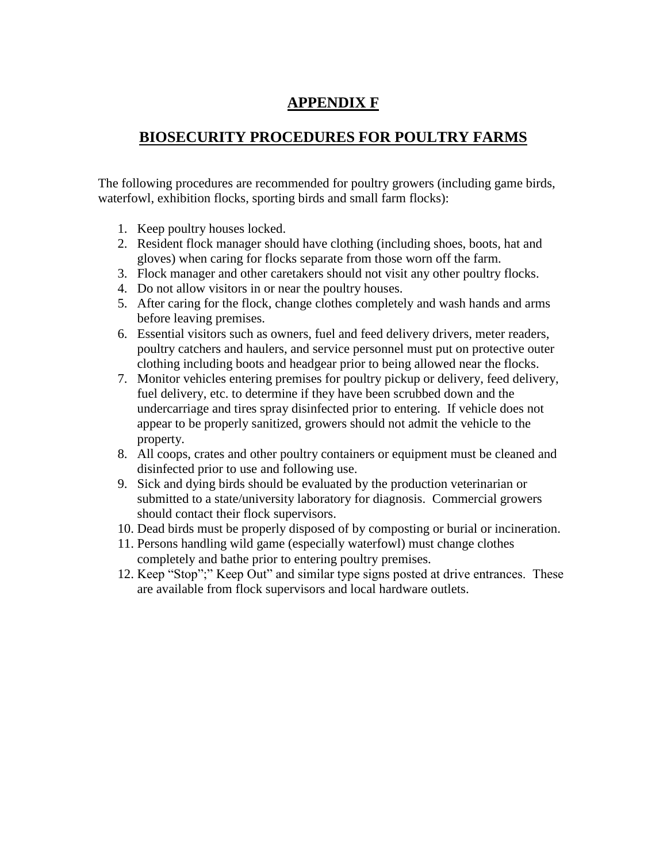# **APPENDIX F**

### **BIOSECURITY PROCEDURES FOR POULTRY FARMS**

The following procedures are recommended for poultry growers (including game birds, waterfowl, exhibition flocks, sporting birds and small farm flocks):

- 1. Keep poultry houses locked.
- 2. Resident flock manager should have clothing (including shoes, boots, hat and gloves) when caring for flocks separate from those worn off the farm.
- 3. Flock manager and other caretakers should not visit any other poultry flocks.
- 4. Do not allow visitors in or near the poultry houses.
- 5. After caring for the flock, change clothes completely and wash hands and arms before leaving premises.
- 6. Essential visitors such as owners, fuel and feed delivery drivers, meter readers, poultry catchers and haulers, and service personnel must put on protective outer clothing including boots and headgear prior to being allowed near the flocks.
- 7. Monitor vehicles entering premises for poultry pickup or delivery, feed delivery, fuel delivery, etc. to determine if they have been scrubbed down and the undercarriage and tires spray disinfected prior to entering. If vehicle does not appear to be properly sanitized, growers should not admit the vehicle to the property.
- 8. All coops, crates and other poultry containers or equipment must be cleaned and disinfected prior to use and following use.
- 9. Sick and dying birds should be evaluated by the production veterinarian or submitted to a state/university laboratory for diagnosis. Commercial growers should contact their flock supervisors.
- 10. Dead birds must be properly disposed of by composting or burial or incineration.
- 11. Persons handling wild game (especially waterfowl) must change clothes completely and bathe prior to entering poultry premises.
- 12. Keep "Stop";" Keep Out" and similar type signs posted at drive entrances. These are available from flock supervisors and local hardware outlets.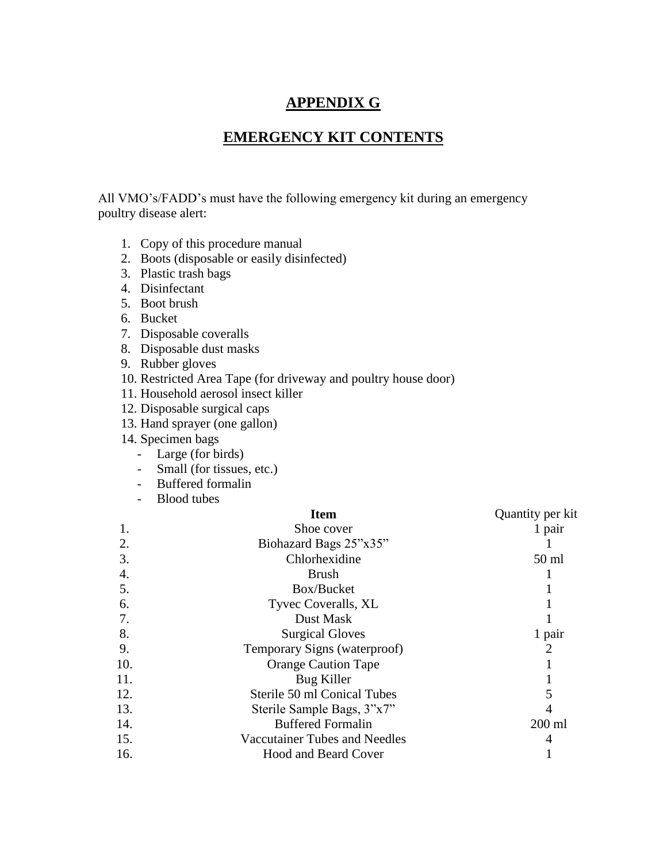### **APPENDIX G**

### **EMERGENCY KIT CONTENTS**

All VMO's/FADD's must have the following emergency kit during an emergency poultry disease alert:

- 1. Copy of this procedure manual
- 2. Boots (disposable or easily disinfected)
- 3. Plastic trash bags
- 4. Disinfectant
- 5. Boot brush
- 6. Bucket
- 7. Disposable coveralls
- 8. Disposable dust masks
- 9. Rubber gloves
- 10. Restricted Area Tape (for driveway and poultry house door)
- 11. Household aerosol insect killer
- 12. Disposable surgical caps
- 13. Hand sprayer (one gallon)
- 14. Specimen bags
	- Large (for birds)
	- Small (for tissues, etc.)
	- Buffered formalin
	- Blood tubes

|     | <b>Item</b>                   | Quantity per kit |
|-----|-------------------------------|------------------|
| 1.  | Shoe cover                    | 1 pair           |
| 2.  | Biohazard Bags 25"x35"        |                  |
| 3.  | Chlorhexidine                 | $50$ ml          |
| 4.  | <b>Brush</b>                  |                  |
| 5.  | Box/Bucket                    |                  |
| 6.  | Tyvec Coveralls, XL           |                  |
| 7.  | Dust Mask                     |                  |
| 8.  | <b>Surgical Gloves</b>        | 1 pair           |
| 9.  | Temporary Signs (waterproof)  | 2                |
| 10. | <b>Orange Caution Tape</b>    |                  |
| 11. | <b>Bug Killer</b>             |                  |
| 12. | Sterile 50 ml Conical Tubes   | 5                |
| 13. | Sterile Sample Bags, 3"x7"    |                  |
| 14. | <b>Buffered Formalin</b>      | $200$ ml         |
| 15. | Vaccutainer Tubes and Needles | 4                |
| 16. | <b>Hood and Beard Cover</b>   |                  |
|     |                               |                  |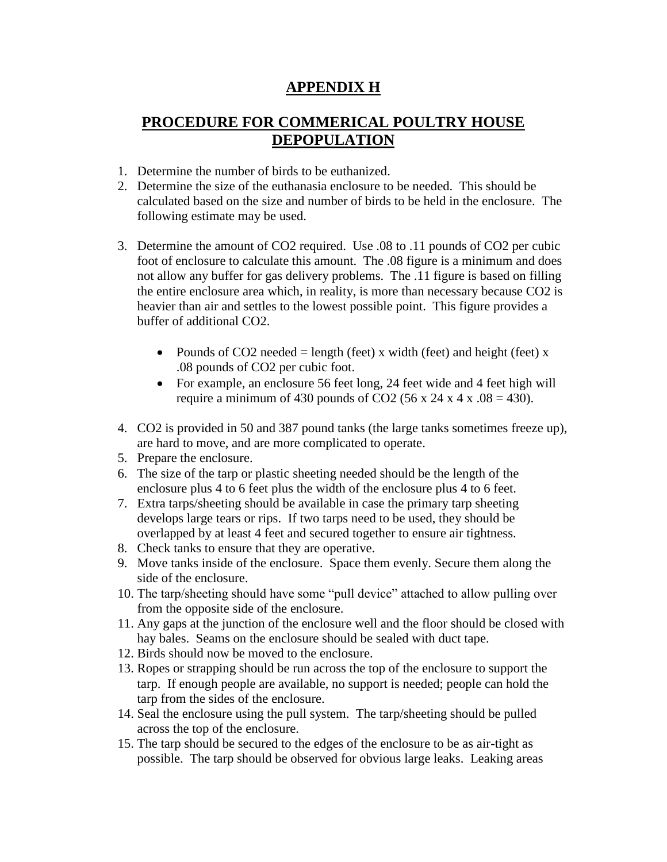### **APPENDIX H**

# **PROCEDURE FOR COMMERICAL POULTRY HOUSE DEPOPULATION**

- 1. Determine the number of birds to be euthanized.
- 2. Determine the size of the euthanasia enclosure to be needed. This should be calculated based on the size and number of birds to be held in the enclosure. The following estimate may be used.
- 3. Determine the amount of CO2 required. Use .08 to .11 pounds of CO2 per cubic foot of enclosure to calculate this amount. The .08 figure is a minimum and does not allow any buffer for gas delivery problems. The .11 figure is based on filling the entire enclosure area which, in reality, is more than necessary because CO2 is heavier than air and settles to the lowest possible point. This figure provides a buffer of additional CO2.
	- Pounds of CO2 needed = length (feet) x width (feet) and height (feet) x .08 pounds of CO2 per cubic foot.
	- For example, an enclosure 56 feet long, 24 feet wide and 4 feet high will require a minimum of 430 pounds of CO2 (56 x 24 x 4 x  $.08 = 430$ ).
- 4. CO2 is provided in 50 and 387 pound tanks (the large tanks sometimes freeze up), are hard to move, and are more complicated to operate.
- 5. Prepare the enclosure.
- 6. The size of the tarp or plastic sheeting needed should be the length of the enclosure plus 4 to 6 feet plus the width of the enclosure plus 4 to 6 feet.
- 7. Extra tarps/sheeting should be available in case the primary tarp sheeting develops large tears or rips. If two tarps need to be used, they should be overlapped by at least 4 feet and secured together to ensure air tightness.
- 8. Check tanks to ensure that they are operative.
- 9. Move tanks inside of the enclosure. Space them evenly. Secure them along the side of the enclosure.
- 10. The tarp/sheeting should have some "pull device" attached to allow pulling over from the opposite side of the enclosure.
- 11. Any gaps at the junction of the enclosure well and the floor should be closed with hay bales. Seams on the enclosure should be sealed with duct tape.
- 12. Birds should now be moved to the enclosure.
- 13. Ropes or strapping should be run across the top of the enclosure to support the tarp. If enough people are available, no support is needed; people can hold the tarp from the sides of the enclosure.
- 14. Seal the enclosure using the pull system. The tarp/sheeting should be pulled across the top of the enclosure.
- 15. The tarp should be secured to the edges of the enclosure to be as air-tight as possible. The tarp should be observed for obvious large leaks. Leaking areas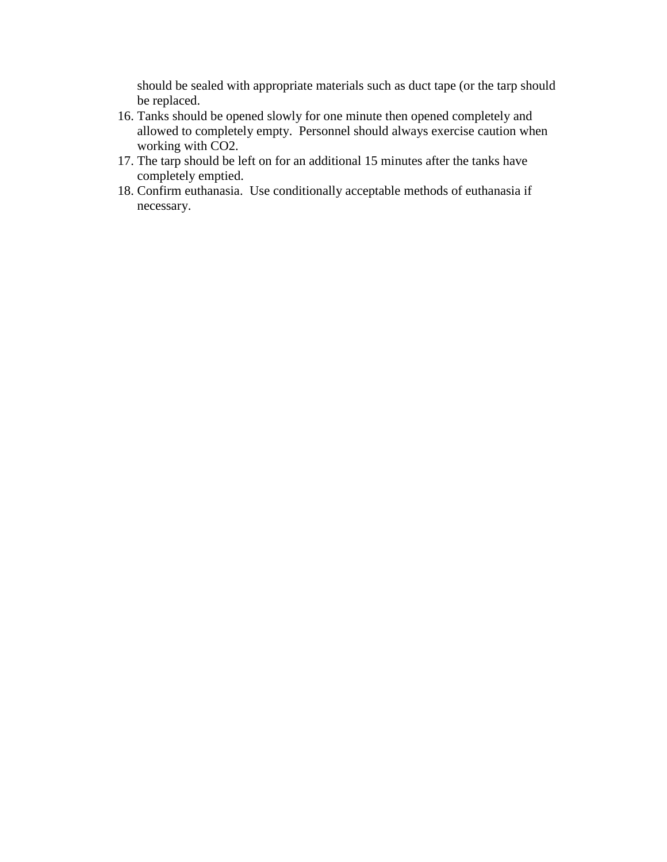should be sealed with appropriate materials such as duct tape (or the tarp should be replaced.

- 16. Tanks should be opened slowly for one minute then opened completely and allowed to completely empty. Personnel should always exercise caution when working with CO2.
- 17. The tarp should be left on for an additional 15 minutes after the tanks have completely emptied.
- 18. Confirm euthanasia. Use conditionally acceptable methods of euthanasia if necessary.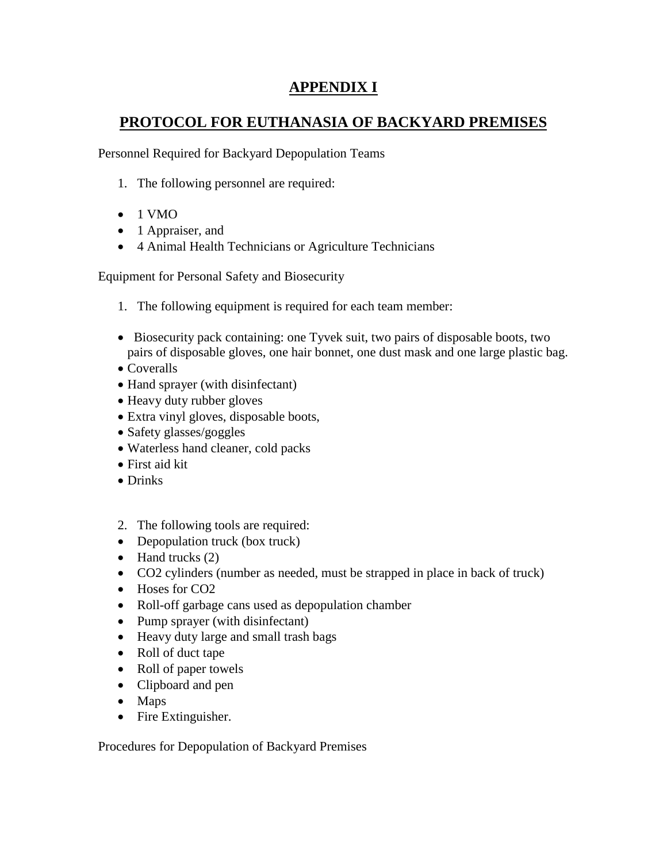# **APPENDIX I**

# **PROTOCOL FOR EUTHANASIA OF BACKYARD PREMISES**

Personnel Required for Backyard Depopulation Teams

- 1. The following personnel are required:
- $\bullet$  1 VMO
- 1 Appraiser, and
- 4 Animal Health Technicians or Agriculture Technicians

Equipment for Personal Safety and Biosecurity

- 1. The following equipment is required for each team member:
- Biosecurity pack containing: one Tyvek suit, two pairs of disposable boots, two pairs of disposable gloves, one hair bonnet, one dust mask and one large plastic bag.
- Coveralls
- Hand sprayer (with disinfectant)
- Heavy duty rubber gloves
- Extra vinyl gloves, disposable boots,
- Safety glasses/goggles
- Waterless hand cleaner, cold packs
- First aid kit
- Drinks
- 2. The following tools are required:
- Depopulation truck (box truck)
- $\bullet$  Hand trucks (2)
- CO2 cylinders (number as needed, must be strapped in place in back of truck)
- Hoses for CO<sub>2</sub>
- Roll-off garbage cans used as depopulation chamber
- Pump sprayer (with disinfectant)
- Heavy duty large and small trash bags
- Roll of duct tape
- Roll of paper towels
- Clipboard and pen
- Maps
- Fire Extinguisher.

Procedures for Depopulation of Backyard Premises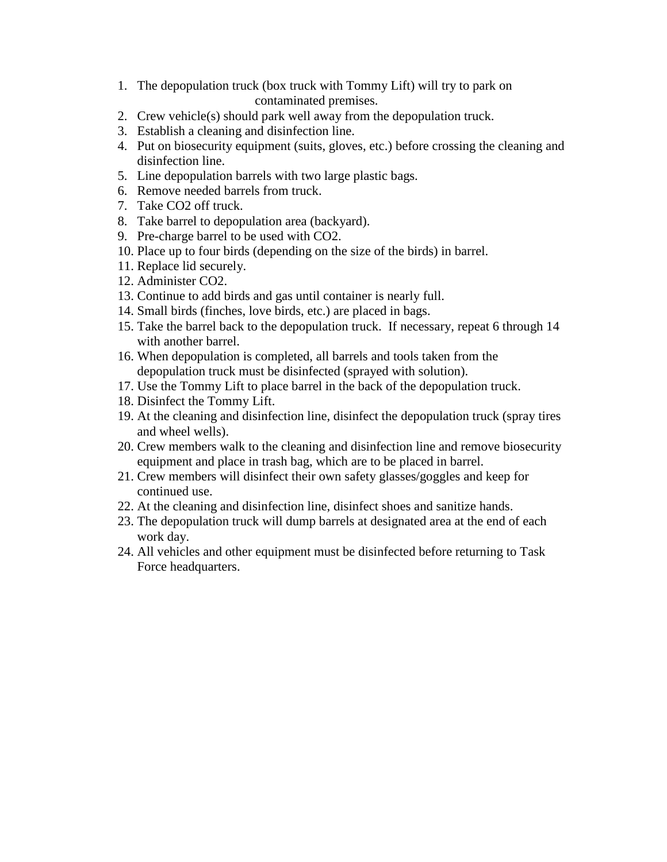- 1. The depopulation truck (box truck with Tommy Lift) will try to park on contaminated premises.
- 2. Crew vehicle(s) should park well away from the depopulation truck.
- 3. Establish a cleaning and disinfection line.
- 4. Put on biosecurity equipment (suits, gloves, etc.) before crossing the cleaning and disinfection line.
- 5. Line depopulation barrels with two large plastic bags.
- 6. Remove needed barrels from truck.
- 7. Take CO2 off truck.
- 8. Take barrel to depopulation area (backyard).
- 9. Pre-charge barrel to be used with CO2.
- 10. Place up to four birds (depending on the size of the birds) in barrel.
- 11. Replace lid securely.
- 12. Administer CO2.
- 13. Continue to add birds and gas until container is nearly full.
- 14. Small birds (finches, love birds, etc.) are placed in bags.
- 15. Take the barrel back to the depopulation truck. If necessary, repeat 6 through 14 with another barrel.
- 16. When depopulation is completed, all barrels and tools taken from the depopulation truck must be disinfected (sprayed with solution).
- 17. Use the Tommy Lift to place barrel in the back of the depopulation truck.
- 18. Disinfect the Tommy Lift.
- 19. At the cleaning and disinfection line, disinfect the depopulation truck (spray tires and wheel wells).
- 20. Crew members walk to the cleaning and disinfection line and remove biosecurity equipment and place in trash bag, which are to be placed in barrel.
- 21. Crew members will disinfect their own safety glasses/goggles and keep for continued use.
- 22. At the cleaning and disinfection line, disinfect shoes and sanitize hands.
- 23. The depopulation truck will dump barrels at designated area at the end of each work day.
- 24. All vehicles and other equipment must be disinfected before returning to Task Force headquarters.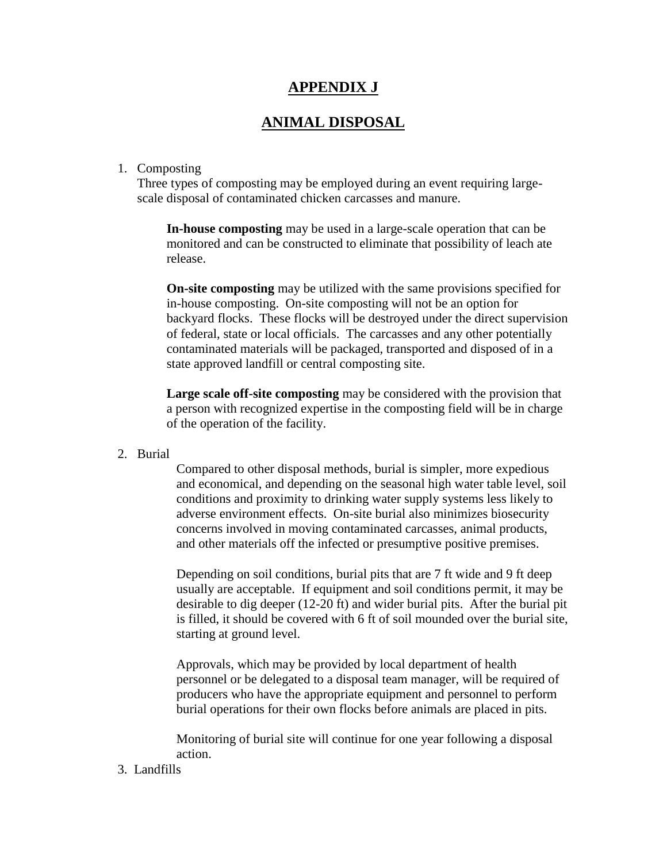### **APPENDIX J**

### **ANIMAL DISPOSAL**

#### 1. Composting

Three types of composting may be employed during an event requiring largescale disposal of contaminated chicken carcasses and manure.

**In-house composting** may be used in a large-scale operation that can be monitored and can be constructed to eliminate that possibility of leach ate release.

**On-site composting** may be utilized with the same provisions specified for in-house composting. On-site composting will not be an option for backyard flocks. These flocks will be destroyed under the direct supervision of federal, state or local officials. The carcasses and any other potentially contaminated materials will be packaged, transported and disposed of in a state approved landfill or central composting site.

**Large scale off-site composting** may be considered with the provision that a person with recognized expertise in the composting field will be in charge of the operation of the facility.

2. Burial

Compared to other disposal methods, burial is simpler, more expedious and economical, and depending on the seasonal high water table level, soil conditions and proximity to drinking water supply systems less likely to adverse environment effects. On-site burial also minimizes biosecurity concerns involved in moving contaminated carcasses, animal products, and other materials off the infected or presumptive positive premises.

Depending on soil conditions, burial pits that are 7 ft wide and 9 ft deep usually are acceptable. If equipment and soil conditions permit, it may be desirable to dig deeper (12-20 ft) and wider burial pits. After the burial pit is filled, it should be covered with 6 ft of soil mounded over the burial site, starting at ground level.

Approvals, which may be provided by local department of health personnel or be delegated to a disposal team manager, will be required of producers who have the appropriate equipment and personnel to perform burial operations for their own flocks before animals are placed in pits.

Monitoring of burial site will continue for one year following a disposal action.

#### 3. Landfills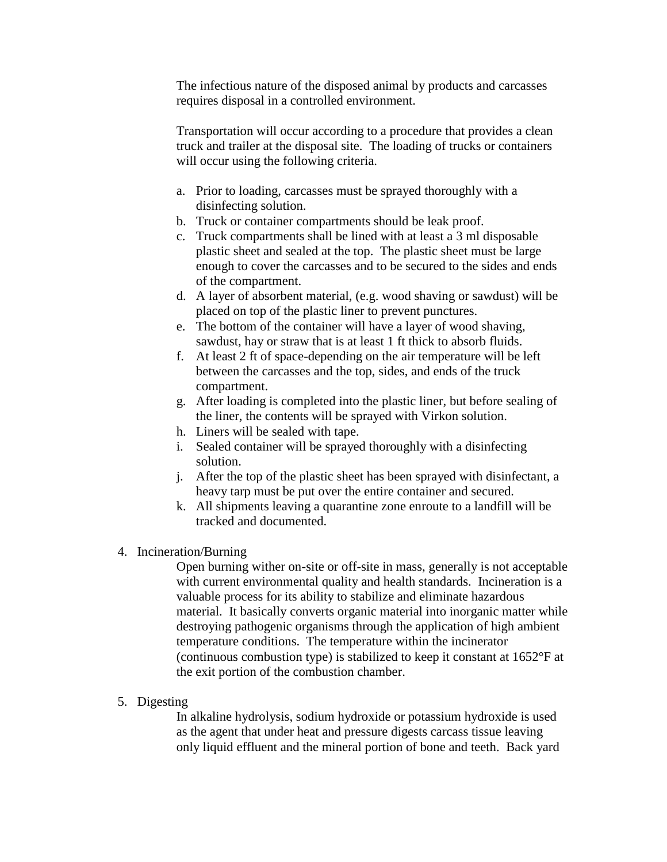The infectious nature of the disposed animal by products and carcasses requires disposal in a controlled environment.

Transportation will occur according to a procedure that provides a clean truck and trailer at the disposal site. The loading of trucks or containers will occur using the following criteria.

- a. Prior to loading, carcasses must be sprayed thoroughly with a disinfecting solution.
- b. Truck or container compartments should be leak proof.
- c. Truck compartments shall be lined with at least a 3 ml disposable plastic sheet and sealed at the top. The plastic sheet must be large enough to cover the carcasses and to be secured to the sides and ends of the compartment.
- d. A layer of absorbent material, (e.g. wood shaving or sawdust) will be placed on top of the plastic liner to prevent punctures.
- e. The bottom of the container will have a layer of wood shaving, sawdust, hay or straw that is at least 1 ft thick to absorb fluids.
- f. At least 2 ft of space-depending on the air temperature will be left between the carcasses and the top, sides, and ends of the truck compartment.
- g. After loading is completed into the plastic liner, but before sealing of the liner, the contents will be sprayed with Virkon solution.
- h. Liners will be sealed with tape.
- i. Sealed container will be sprayed thoroughly with a disinfecting solution.
- j. After the top of the plastic sheet has been sprayed with disinfectant, a heavy tarp must be put over the entire container and secured.
- k. All shipments leaving a quarantine zone enroute to a landfill will be tracked and documented.
- 4. Incineration/Burning

Open burning wither on-site or off-site in mass, generally is not acceptable with current environmental quality and health standards. Incineration is a valuable process for its ability to stabilize and eliminate hazardous material. It basically converts organic material into inorganic matter while destroying pathogenic organisms through the application of high ambient temperature conditions. The temperature within the incinerator (continuous combustion type) is stabilized to keep it constant at 1652°F at the exit portion of the combustion chamber.

5. Digesting

In alkaline hydrolysis, sodium hydroxide or potassium hydroxide is used as the agent that under heat and pressure digests carcass tissue leaving only liquid effluent and the mineral portion of bone and teeth. Back yard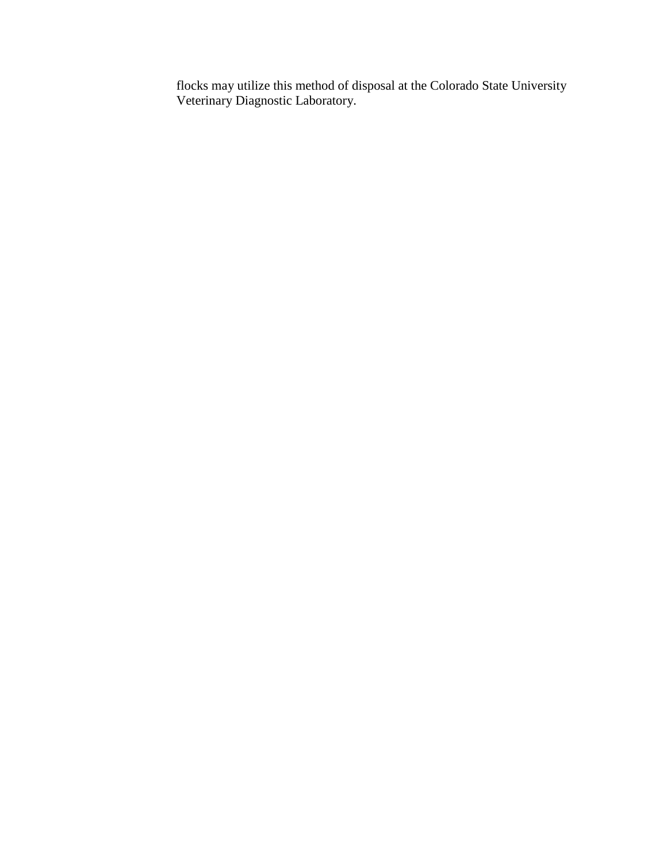flocks may utilize this method of disposal at the Colorado State University Veterinary Diagnostic Laboratory.